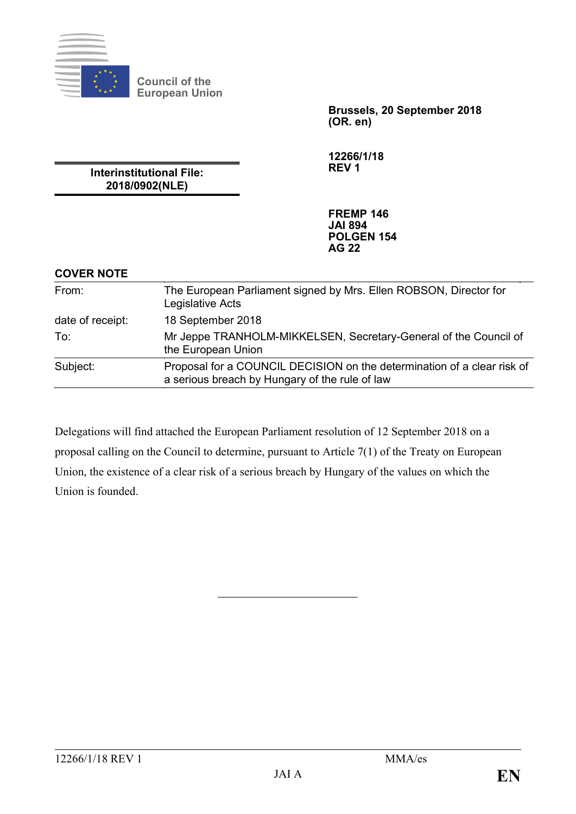

**Council of the European Union**

> **Brussels, 20 September 2018 (OR. en)**

**12266/1/18 REV 1**

**Interinstitutional File: 2018/0902(NLE)**

> **FREMP 146 JAI 894 POLGEN 154 AG 22**

## **COVER NOTE**

| From:            | The European Parliament signed by Mrs. Ellen ROBSON, Director for<br>Legislative Acts                                     |
|------------------|---------------------------------------------------------------------------------------------------------------------------|
| date of receipt: | 18 September 2018                                                                                                         |
| To:              | Mr Jeppe TRANHOLM-MIKKELSEN, Secretary-General of the Council of<br>the European Union                                    |
| Subject:         | Proposal for a COUNCIL DECISION on the determination of a clear risk of<br>a serious breach by Hungary of the rule of law |
|                  |                                                                                                                           |

Delegations will find attached the European Parliament resolution of 12 September 2018 on a proposal calling on the Council to determine, pursuant to Article 7(1) of the Treaty on European Union, the existence of a clear risk of a serious breach by Hungary of the values on which the Union is founded.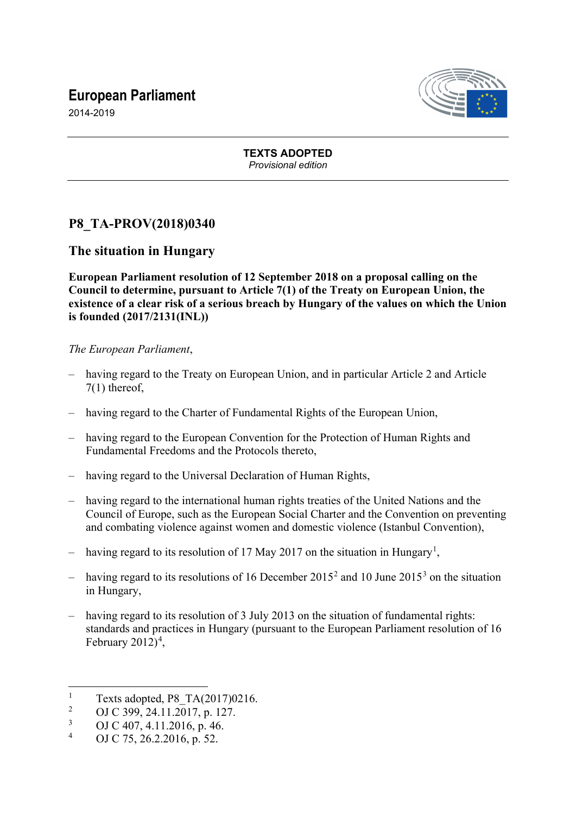# **European Parliament**



2014-2019

#### **TEXTS ADOPTED** *Provisional edition*

# **P8\_TA-PROV(2018)0340**

## **The situation in Hungary**

**European Parliament resolution of 12 September 2018 on a proposal calling on the Council to determine, pursuant to Article 7(1) of the Treaty on European Union, the existence of a clear risk of a serious breach by Hungary of the values on which the Union is founded (2017/2131(INL))** 

*The European Parliament*,

- having regard to the Treaty on European Union, and in particular Article 2 and Article 7(1) thereof,
- having regard to the Charter of Fundamental Rights of the European Union,
- having regard to the European Convention for the Protection of Human Rights and Fundamental Freedoms and the Protocols thereto,
- having regard to the Universal Declaration of Human Rights,
- having regard to the international human rights treaties of the United Nations and the Council of Europe, such as the European Social Charter and the Convention on preventing and combating violence against women and domestic violence (Istanbul Convention),
- having regard to its resolution of [1](#page-1-0)7 May 2017 on the situation in Hungary<sup>1</sup>,
- having regard to its resolutions of 16 December [2](#page-1-1)015<sup>2</sup> and 10 June 2015<sup>[3](#page-1-2)</sup> on the situation in Hungary,
- having regard to its resolution of 3 July 2013 on the situation of fundamental rights: standards and practices in Hungary (pursuant to the European Parliament resolution of 16 February  $2012)^4$  $2012)^4$ ,

<sup>&</sup>lt;u>.</u> 1 Texts adopted, P8\_TA(2017)0216.

<span id="page-1-1"></span><span id="page-1-0"></span> $\mathcal{L}$ OJ C 399, 24.11.2017, p. 127.

<span id="page-1-2"></span><sup>3</sup> OJ C 407, 4.11.2016, p. 46.

<span id="page-1-3"></span><sup>4</sup> OJ C 75, 26.2.2016, p. 52.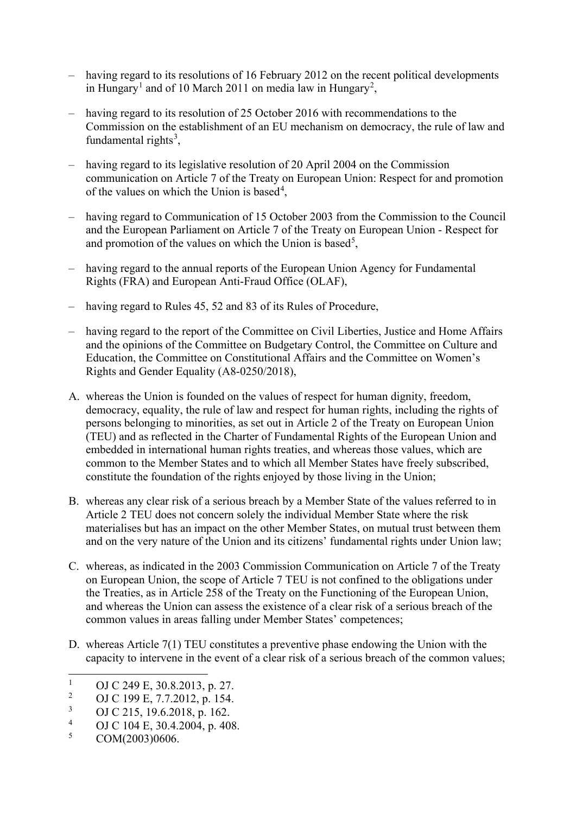- having regard to its resolutions of 16 February 2012 on the recent political developments in Hungary<sup>[1](#page-2-0)</sup> and of 10 March [2](#page-2-1)011 on media law in Hungary<sup>2</sup>,
- having regard to its resolution of 25 October 2016 with recommendations to the Commission on the establishment of an EU mechanism on democracy, the rule of law and fundamental rights $3$ ,
- having regard to its legislative resolution of 20 April 2004 on the Commission communication on Article 7 of the Treaty on European Union: Respect for and promotion of the values on which the Union is based<sup>[4](#page-2-3)</sup>,
- having regard to Communication of 15 October 2003 from the Commission to the Council and the European Parliament on Article 7 of the Treaty on European Union - Respect for and promotion of the values on which the Union is based<sup>[5](#page-2-4)</sup>,
- having regard to the annual reports of the European Union Agency for Fundamental Rights (FRA) and European Anti-Fraud Office (OLAF),
- having regard to Rules 45, 52 and 83 of its Rules of Procedure,
- having regard to the report of the Committee on Civil Liberties, Justice and Home Affairs and the opinions of the Committee on Budgetary Control, the Committee on Culture and Education, the Committee on Constitutional Affairs and the Committee on Women's Rights and Gender Equality (A8-0250/2018),
- A. whereas the Union is founded on the values of respect for human dignity, freedom, democracy, equality, the rule of law and respect for human rights, including the rights of persons belonging to minorities, as set out in Article 2 of the Treaty on European Union (TEU) and as reflected in the Charter of Fundamental Rights of the European Union and embedded in international human rights treaties, and whereas those values, which are common to the Member States and to which all Member States have freely subscribed, constitute the foundation of the rights enjoyed by those living in the Union;
- B. whereas any clear risk of a serious breach by a Member State of the values referred to in Article 2 TEU does not concern solely the individual Member State where the risk materialises but has an impact on the other Member States, on mutual trust between them and on the very nature of the Union and its citizens' fundamental rights under Union law;
- C. whereas, as indicated in the 2003 Commission Communication on Article 7 of the Treaty on European Union, the scope of Article 7 TEU is not confined to the obligations under the Treaties, as in Article 258 of the Treaty on the Functioning of the European Union, and whereas the Union can assess the existence of a clear risk of a serious breach of the common values in areas falling under Member States' competences;
- D. whereas Article 7(1) TEU constitutes a preventive phase endowing the Union with the capacity to intervene in the event of a clear risk of a serious breach of the common values;

<span id="page-2-0"></span> $\frac{1}{2}$  OJ C 249 E, 30.8.2013, p. 27.

<span id="page-2-1"></span><sup>&</sup>lt;sup>2</sup> OJ C 199 E, 7.7.2012, p. 154.

<span id="page-2-2"></span> $\frac{3}{4}$  OJ C 215, 19.6.2018, p. 162.

<span id="page-2-3"></span> $^{4}$  OJ C 104 E, 30.4.2004, p. 408.

<span id="page-2-4"></span>COM(2003)0606.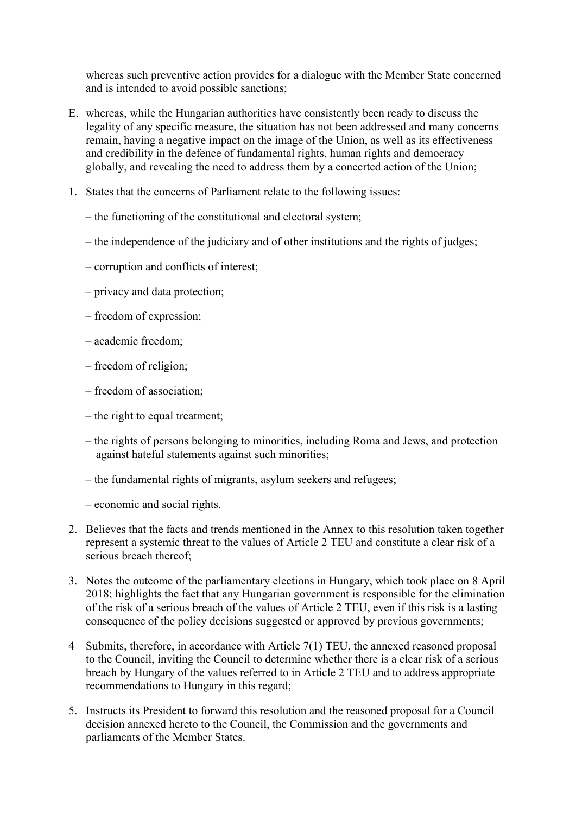whereas such preventive action provides for a dialogue with the Member State concerned and is intended to avoid possible sanctions;

- E. whereas, while the Hungarian authorities have consistently been ready to discuss the legality of any specific measure, the situation has not been addressed and many concerns remain, having a negative impact on the image of the Union, as well as its effectiveness and credibility in the defence of fundamental rights, human rights and democracy globally, and revealing the need to address them by a concerted action of the Union;
- 1. States that the concerns of Parliament relate to the following issues:
	- the functioning of the constitutional and electoral system;
	- the independence of the judiciary and of other institutions and the rights of judges;
	- corruption and conflicts of interest;
	- privacy and data protection;
	- freedom of expression;
	- academic freedom;
	- freedom of religion;
	- freedom of association;
	- the right to equal treatment;
	- the rights of persons belonging to minorities, including Roma and Jews, and protection against hateful statements against such minorities;
	- the fundamental rights of migrants, asylum seekers and refugees;
	- economic and social rights.
- 2. Believes that the facts and trends mentioned in the Annex to this resolution taken together represent a systemic threat to the values of Article 2 TEU and constitute a clear risk of a serious breach thereof;
- 3. Notes the outcome of the parliamentary elections in Hungary, which took place on 8 April 2018; highlights the fact that any Hungarian government is responsible for the elimination of the risk of a serious breach of the values of Article 2 TEU, even if this risk is a lasting consequence of the policy decisions suggested or approved by previous governments;
- 4 Submits, therefore, in accordance with Article 7(1) TEU, the annexed reasoned proposal to the Council, inviting the Council to determine whether there is a clear risk of a serious breach by Hungary of the values referred to in Article 2 TEU and to address appropriate recommendations to Hungary in this regard;
- 5. Instructs its President to forward this resolution and the reasoned proposal for a Council decision annexed hereto to the Council, the Commission and the governments and parliaments of the Member States.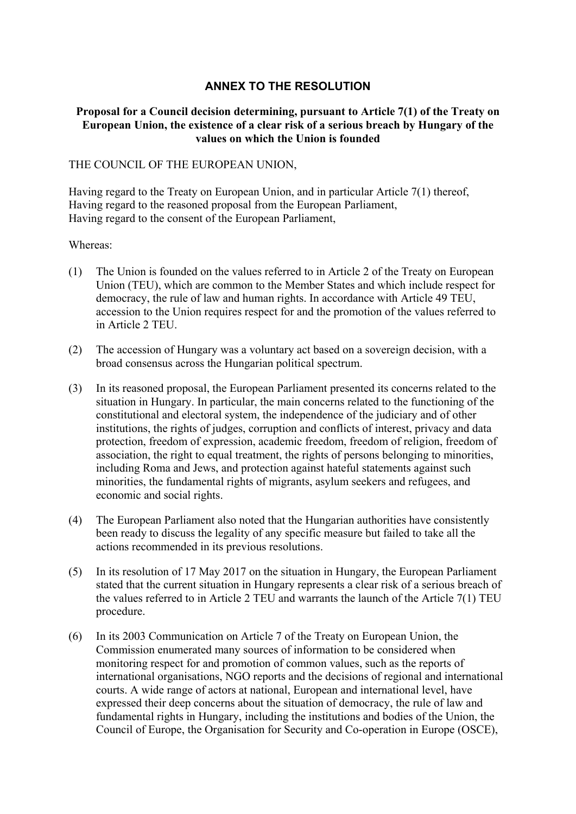## **ANNEX TO THE RESOLUTION**

#### **Proposal for a Council decision determining, pursuant to Article 7(1) of the Treaty on European Union, the existence of a clear risk of a serious breach by Hungary of the values on which the Union is founded**

#### THE COUNCIL OF THE EUROPEAN UNION,

Having regard to the Treaty on European Union, and in particular Article 7(1) thereof, Having regard to the reasoned proposal from the European Parliament, Having regard to the consent of the European Parliament,

#### Whereas:

- (1) The Union is founded on the values referred to in Article 2 of the Treaty on European Union (TEU), which are common to the Member States and which include respect for democracy, the rule of law and human rights. In accordance with Article 49 TEU, accession to the Union requires respect for and the promotion of the values referred to in Article 2 TEU.
- (2) The accession of Hungary was a voluntary act based on a sovereign decision, with a broad consensus across the Hungarian political spectrum.
- (3) In its reasoned proposal, the European Parliament presented its concerns related to the situation in Hungary. In particular, the main concerns related to the functioning of the constitutional and electoral system, the independence of the judiciary and of other institutions, the rights of judges, corruption and conflicts of interest, privacy and data protection, freedom of expression, academic freedom, freedom of religion, freedom of association, the right to equal treatment, the rights of persons belonging to minorities, including Roma and Jews, and protection against hateful statements against such minorities, the fundamental rights of migrants, asylum seekers and refugees, and economic and social rights.
- (4) The European Parliament also noted that the Hungarian authorities have consistently been ready to discuss the legality of any specific measure but failed to take all the actions recommended in its previous resolutions.
- (5) In its resolution of 17 May 2017 on the situation in Hungary, the European Parliament stated that the current situation in Hungary represents a clear risk of a serious breach of the values referred to in Article 2 TEU and warrants the launch of the Article 7(1) TEU procedure.
- (6) In its 2003 Communication on Article 7 of the Treaty on European Union, the Commission enumerated many sources of information to be considered when monitoring respect for and promotion of common values, such as the reports of international organisations, NGO reports and the decisions of regional and international courts. A wide range of actors at national, European and international level, have expressed their deep concerns about the situation of democracy, the rule of law and fundamental rights in Hungary, including the institutions and bodies of the Union, the Council of Europe, the Organisation for Security and Co-operation in Europe (OSCE),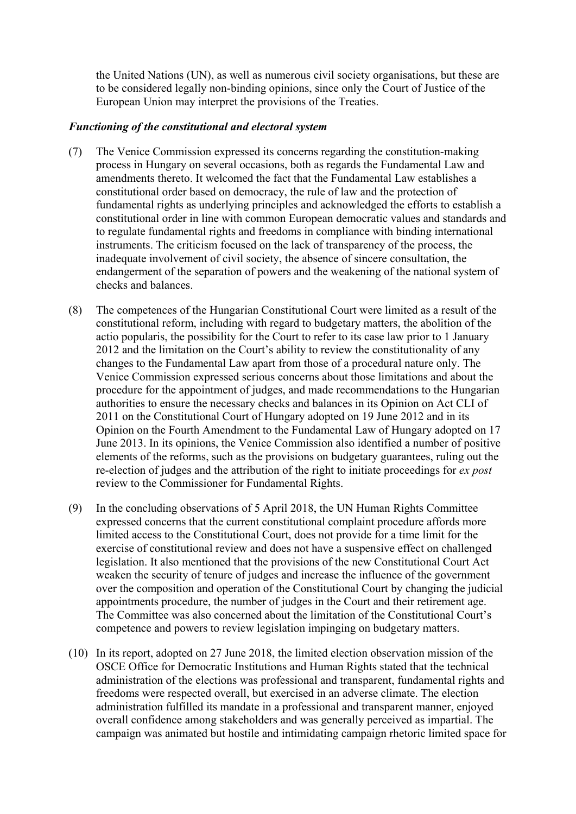the United Nations (UN), as well as numerous civil society organisations, but these are to be considered legally non-binding opinions, since only the Court of Justice of the European Union may interpret the provisions of the Treaties.

#### *Functioning of the constitutional and electoral system*

- (7) The Venice Commission expressed its concerns regarding the constitution-making process in Hungary on several occasions, both as regards the Fundamental Law and amendments thereto. It welcomed the fact that the Fundamental Law establishes a constitutional order based on democracy, the rule of law and the protection of fundamental rights as underlying principles and acknowledged the efforts to establish a constitutional order in line with common European democratic values and standards and to regulate fundamental rights and freedoms in compliance with binding international instruments. The criticism focused on the lack of transparency of the process, the inadequate involvement of civil society, the absence of sincere consultation, the endangerment of the separation of powers and the weakening of the national system of checks and balances.
- (8) The competences of the Hungarian Constitutional Court were limited as a result of the constitutional reform, including with regard to budgetary matters, the abolition of the actio popularis, the possibility for the Court to refer to its case law prior to 1 January 2012 and the limitation on the Court's ability to review the constitutionality of any changes to the Fundamental Law apart from those of a procedural nature only. The Venice Commission expressed serious concerns about those limitations and about the procedure for the appointment of judges, and made recommendations to the Hungarian authorities to ensure the necessary checks and balances in its Opinion on Act CLI of 2011 on the Constitutional Court of Hungary adopted on 19 June 2012 and in its Opinion on the Fourth Amendment to the Fundamental Law of Hungary adopted on 17 June 2013. In its opinions, the Venice Commission also identified a number of positive elements of the reforms, such as the provisions on budgetary guarantees, ruling out the re-election of judges and the attribution of the right to initiate proceedings for *ex post* review to the Commissioner for Fundamental Rights.
- (9) In the concluding observations of 5 April 2018, the UN Human Rights Committee expressed concerns that the current constitutional complaint procedure affords more limited access to the Constitutional Court, does not provide for a time limit for the exercise of constitutional review and does not have a suspensive effect on challenged legislation. It also mentioned that the provisions of the new Constitutional Court Act weaken the security of tenure of judges and increase the influence of the government over the composition and operation of the Constitutional Court by changing the judicial appointments procedure, the number of judges in the Court and their retirement age. The Committee was also concerned about the limitation of the Constitutional Court's competence and powers to review legislation impinging on budgetary matters.
- (10) In its report, adopted on 27 June 2018, the limited election observation mission of the OSCE Office for Democratic Institutions and Human Rights stated that the technical administration of the elections was professional and transparent, fundamental rights and freedoms were respected overall, but exercised in an adverse climate. The election administration fulfilled its mandate in a professional and transparent manner, enjoyed overall confidence among stakeholders and was generally perceived as impartial. The campaign was animated but hostile and intimidating campaign rhetoric limited space for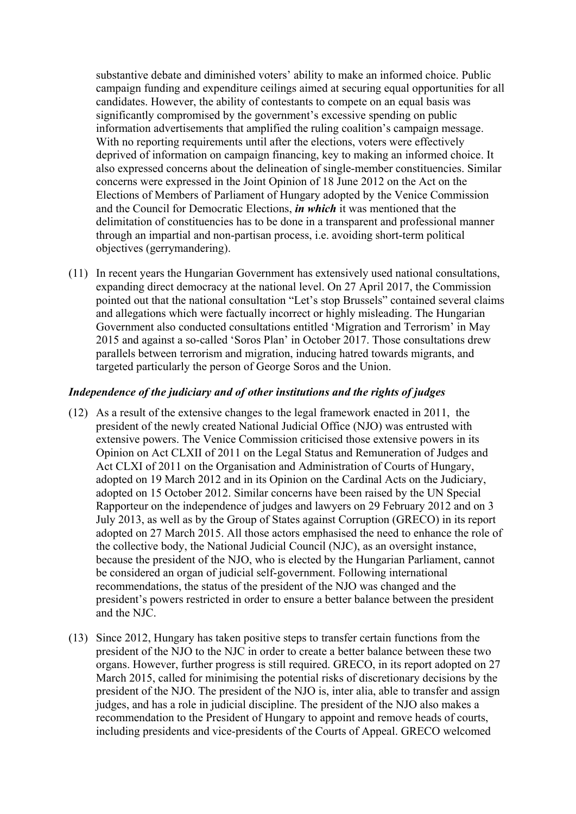substantive debate and diminished voters' ability to make an informed choice. Public campaign funding and expenditure ceilings aimed at securing equal opportunities for all candidates. However, the ability of contestants to compete on an equal basis was significantly compromised by the government's excessive spending on public information advertisements that amplified the ruling coalition's campaign message. With no reporting requirements until after the elections, voters were effectively deprived of information on campaign financing, key to making an informed choice. It also expressed concerns about the delineation of single-member constituencies. Similar concerns were expressed in the Joint Opinion of 18 June 2012 on the Act on the Elections of Members of Parliament of Hungary adopted by the Venice Commission and the Council for Democratic Elections, *in which* it was mentioned that the delimitation of constituencies has to be done in a transparent and professional manner through an impartial and non-partisan process, i.e. avoiding short-term political objectives (gerrymandering).

(11) In recent years the Hungarian Government has extensively used national consultations, expanding direct democracy at the national level. On 27 April 2017, the Commission pointed out that the national consultation "Let's stop Brussels" contained several claims and allegations which were factually incorrect or highly misleading. The Hungarian Government also conducted consultations entitled 'Migration and Terrorism' in May 2015 and against a so-called 'Soros Plan' in October 2017. Those consultations drew parallels between terrorism and migration, inducing hatred towards migrants, and targeted particularly the person of George Soros and the Union.

#### *Independence of the judiciary and of other institutions and the rights of judges*

- (12) As a result of the extensive changes to the legal framework enacted in 2011, the president of the newly created National Judicial Office (NJO) was entrusted with extensive powers. The Venice Commission criticised those extensive powers in its Opinion on Act CLXII of 2011 on the Legal Status and Remuneration of Judges and Act CLXI of 2011 on the Organisation and Administration of Courts of Hungary, adopted on 19 March 2012 and in its Opinion on the Cardinal Acts on the Judiciary, adopted on 15 October 2012. Similar concerns have been raised by the UN Special Rapporteur on the independence of judges and lawyers on 29 February 2012 and on 3 July 2013, as well as by the Group of States against Corruption (GRECO) in its report adopted on 27 March 2015. All those actors emphasised the need to enhance the role of the collective body, the National Judicial Council (NJC), as an oversight instance, because the president of the NJO, who is elected by the Hungarian Parliament, cannot be considered an organ of judicial self-government. Following international recommendations, the status of the president of the NJO was changed and the president's powers restricted in order to ensure a better balance between the president and the NJC.
- (13) Since 2012, Hungary has taken positive steps to transfer certain functions from the president of the NJO to the NJC in order to create a better balance between these two organs. However, further progress is still required. GRECO, in its report adopted on 27 March 2015, called for minimising the potential risks of discretionary decisions by the president of the NJO. The president of the NJO is, inter alia, able to transfer and assign judges, and has a role in judicial discipline. The president of the NJO also makes a recommendation to the President of Hungary to appoint and remove heads of courts, including presidents and vice-presidents of the Courts of Appeal. GRECO welcomed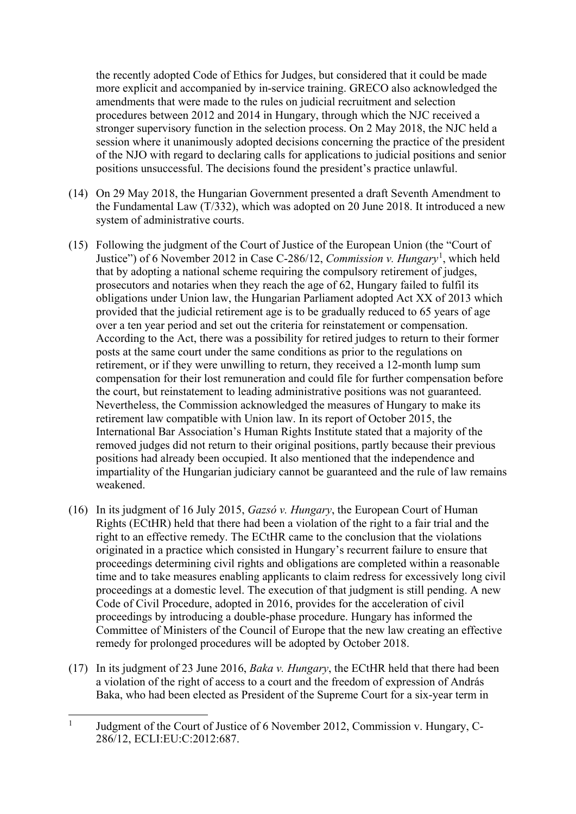the recently adopted Code of Ethics for Judges, but considered that it could be made more explicit and accompanied by in-service training. GRECO also acknowledged the amendments that were made to the rules on judicial recruitment and selection procedures between 2012 and 2014 in Hungary, through which the NJC received a stronger supervisory function in the selection process. On 2 May 2018, the NJC held a session where it unanimously adopted decisions concerning the practice of the president of the NJO with regard to declaring calls for applications to judicial positions and senior positions unsuccessful. The decisions found the president's practice unlawful.

- (14) On 29 May 2018, the Hungarian Government presented a draft Seventh Amendment to the Fundamental Law (T/332), which was adopted on 20 June 2018. It introduced a new system of administrative courts.
- (15) Following the judgment of the Court of Justice of the European Union (the "Court of Justice") of 6 November 2012 in Case C-286/12, *Commission v. Hungary*[1](#page-7-0) , which held that by adopting a national scheme requiring the compulsory retirement of judges, prosecutors and notaries when they reach the age of 62, Hungary failed to fulfil its obligations under Union law, the Hungarian Parliament adopted Act XX of 2013 which provided that the judicial retirement age is to be gradually reduced to 65 years of age over a ten year period and set out the criteria for reinstatement or compensation. According to the Act, there was a possibility for retired judges to return to their former posts at the same court under the same conditions as prior to the regulations on retirement, or if they were unwilling to return, they received a 12-month lump sum compensation for their lost remuneration and could file for further compensation before the court, but reinstatement to leading administrative positions was not guaranteed. Nevertheless, the Commission acknowledged the measures of Hungary to make its retirement law compatible with Union law. In its report of October 2015, the International Bar Association's Human Rights Institute stated that a majority of the removed judges did not return to their original positions, partly because their previous positions had already been occupied. It also mentioned that the independence and impartiality of the Hungarian judiciary cannot be guaranteed and the rule of law remains weakened.
- (16) In its judgment of 16 July 2015, *Gazsó v. Hungary*, the European Court of Human Rights (ECtHR) held that there had been a violation of the right to a fair trial and the right to an effective remedy. The ECtHR came to the conclusion that the violations originated in a practice which consisted in Hungary's recurrent failure to ensure that proceedings determining civil rights and obligations are completed within a reasonable time and to take measures enabling applicants to claim redress for excessively long civil proceedings at a domestic level. The execution of that judgment is still pending. A new Code of Civil Procedure, adopted in 2016, provides for the acceleration of civil proceedings by introducing a double-phase procedure. Hungary has informed the Committee of Ministers of the Council of Europe that the new law creating an effective remedy for prolonged procedures will be adopted by October 2018.
- (17) In its judgment of 23 June 2016, *Baka v. Hungary*, the ECtHR held that there had been a violation of the right of access to a court and the freedom of expression of András Baka, who had been elected as President of the Supreme Court for a six-year term in

<span id="page-7-0"></span><sup>&</sup>lt;sup>1</sup> Judgment of the Court of Justice of 6 November 2012, Commission v. Hungary, C-286/12, ECLI:EU:C:2012:687.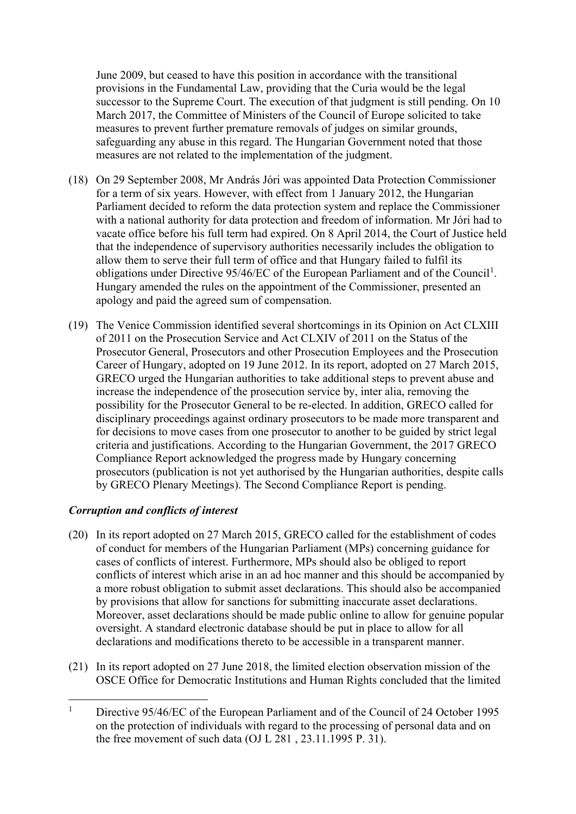June 2009, but ceased to have this position in accordance with the transitional provisions in the Fundamental Law, providing that the Curia would be the legal successor to the Supreme Court. The execution of that judgment is still pending. On 10 March 2017, the Committee of Ministers of the Council of Europe solicited to take measures to prevent further premature removals of judges on similar grounds, safeguarding any abuse in this regard. The Hungarian Government noted that those measures are not related to the implementation of the judgment.

- (18) On 29 September 2008, Mr András Jóri was appointed Data Protection Commissioner for a term of six years. However, with effect from 1 January 2012, the Hungarian Parliament decided to reform the data protection system and replace the Commissioner with a national authority for data protection and freedom of information. Mr Jóri had to vacate office before his full term had expired. On 8 April 2014, the Court of Justice held that the independence of supervisory authorities necessarily includes the obligation to allow them to serve their full term of office and that Hungary failed to fulfil its obligations under Directive  $95/46$ /EC of the European Parliament and of the Council<sup>[1](#page-8-0)</sup>. Hungary amended the rules on the appointment of the Commissioner, presented an apology and paid the agreed sum of compensation.
- (19) The Venice Commission identified several shortcomings in its Opinion on Act CLXIII of 2011 on the Prosecution Service and Act CLXIV of 2011 on the Status of the Prosecutor General, Prosecutors and other Prosecution Employees and the Prosecution Career of Hungary, adopted on 19 June 2012. In its report, adopted on 27 March 2015, GRECO urged the Hungarian authorities to take additional steps to prevent abuse and increase the independence of the prosecution service by, inter alia, removing the possibility for the Prosecutor General to be re-elected. In addition, GRECO called for disciplinary proceedings against ordinary prosecutors to be made more transparent and for decisions to move cases from one prosecutor to another to be guided by strict legal criteria and justifications. According to the Hungarian Government, the 2017 GRECO Compliance Report acknowledged the progress made by Hungary concerning prosecutors (publication is not yet authorised by the Hungarian authorities, despite calls by GRECO Plenary Meetings). The Second Compliance Report is pending.

## *Corruption and conflicts of interest*

- (20) In its report adopted on 27 March 2015, GRECO called for the establishment of codes of conduct for members of the Hungarian Parliament (MPs) concerning guidance for cases of conflicts of interest. Furthermore, MPs should also be obliged to report conflicts of interest which arise in an ad hoc manner and this should be accompanied by a more robust obligation to submit asset declarations. This should also be accompanied by provisions that allow for sanctions for submitting inaccurate asset declarations. Moreover, asset declarations should be made public online to allow for genuine popular oversight. A standard electronic database should be put in place to allow for all declarations and modifications thereto to be accessible in a transparent manner.
- (21) In its report adopted on 27 June 2018, the limited election observation mission of the OSCE Office for Democratic Institutions and Human Rights concluded that the limited

<span id="page-8-0"></span><sup>&</sup>lt;sup>1</sup> Directive 95/46/EC of the European Parliament and of the Council of 24 October 1995 on the protection of individuals with regard to the processing of personal data and on the free movement of such data (OJ L 281 , 23.11.1995 P. 31).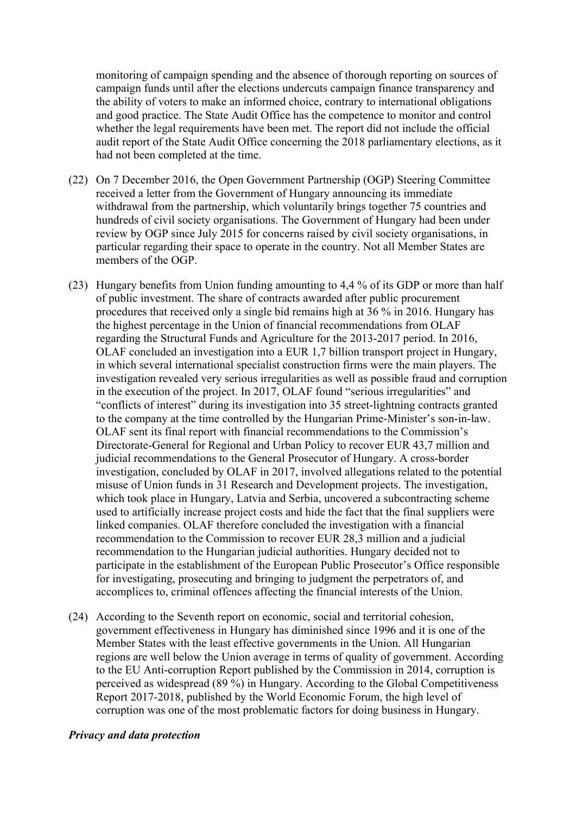monitoring of campaign spending and the absence of thorough reporting on sources of campaign funds until after the elections undercuts campaign finance transparency and the ability of voters to make an informed choice, contrary to international obligations and good practice. The State Audit Office has the competence to monitor and control whether the legal requirements have been met. The report did not include the official audit report of the State Audit Office concerning the 2018 parliamentary elections, as it had not been completed at the time.

- (22) On 7 December 2016, the Open Government Partnership (OGP) Steering Committee received a letter from the Government of Hungary announcing its immediate withdrawal from the partnership, which voluntarily brings together 75 countries and hundreds of civil society organisations. The Government of Hungary had been under review by OGP since July 2015 for concerns raised by civil society organisations, in particular regarding their space to operate in the country. Not all Member States are members of the OGP.
- (23) Hungary benefits from Union funding amounting to 4,4 % of its GDP or more than half of public investment. The share of contracts awarded after public procurement procedures that received only a single bid remains high at 36 % in 2016. Hungary has the highest percentage in the Union of financial recommendations from OLAF regarding the Structural Funds and Agriculture for the 2013-2017 period. In 2016, OLAF concluded an investigation into a EUR 1,7 billion transport project in Hungary, in which several international specialist construction firms were the main players. The investigation revealed very serious irregularities as well as possible fraud and corruption in the execution of the project. In 2017, OLAF found "serious irregularities" and "conflicts of interest" during its investigation into 35 street-lightning contracts granted to the company at the time controlled by the Hungarian Prime-Minister's son-in-law. OLAF sent its final report with financial recommendations to the Commission's Directorate-General for Regional and Urban Policy to recover EUR 43,7 million and judicial recommendations to the General Prosecutor of Hungary. A cross-border investigation, concluded by OLAF in 2017, involved allegations related to the potential misuse of Union funds in 31 Research and Development projects. The investigation, which took place in Hungary, Latvia and Serbia, uncovered a subcontracting scheme used to artificially increase project costs and hide the fact that the final suppliers were linked companies. OLAF therefore concluded the investigation with a financial recommendation to the Commission to recover EUR 28,3 million and a judicial recommendation to the Hungarian judicial authorities. Hungary decided not to participate in the establishment of the European Public Prosecutor's Office responsible for investigating, prosecuting and bringing to judgment the perpetrators of, and accomplices to, criminal offences affecting the financial interests of the Union.
- (24) According to the Seventh report on economic, social and territorial cohesion, government effectiveness in Hungary has diminished since 1996 and it is one of the Member States with the least effective governments in the Union. All Hungarian regions are well below the Union average in terms of quality of government. According to the EU Anti-corruption Report published by the Commission in 2014, corruption is perceived as widespread (89 %) in Hungary. According to the Global Competitiveness Report 2017-2018, published by the World Economic Forum, the high level of corruption was one of the most problematic factors for doing business in Hungary.

#### *Privacy and data protection*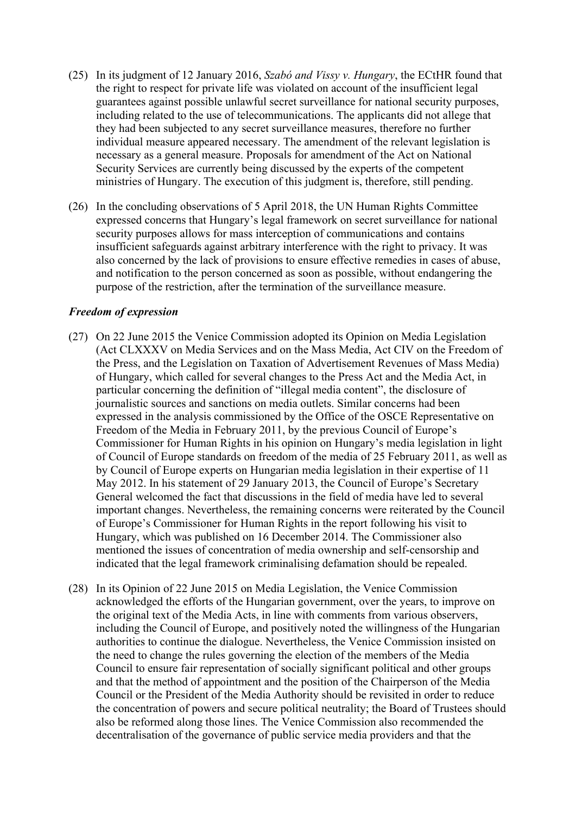- (25) In its judgment of 12 January 2016, *Szabó and Vissy v. Hungary*, the ECtHR found that the right to respect for private life was violated on account of the insufficient legal guarantees against possible unlawful secret surveillance for national security purposes, including related to the use of telecommunications. The applicants did not allege that they had been subjected to any secret surveillance measures, therefore no further individual measure appeared necessary. The amendment of the relevant legislation is necessary as a general measure. Proposals for amendment of the Act on National Security Services are currently being discussed by the experts of the competent ministries of Hungary. The execution of this judgment is, therefore, still pending.
- (26) In the concluding observations of 5 April 2018, the UN Human Rights Committee expressed concerns that Hungary's legal framework on secret surveillance for national security purposes allows for mass interception of communications and contains insufficient safeguards against arbitrary interference with the right to privacy. It was also concerned by the lack of provisions to ensure effective remedies in cases of abuse, and notification to the person concerned as soon as possible, without endangering the purpose of the restriction, after the termination of the surveillance measure.

#### *Freedom of expression*

- (27) On 22 June 2015 the Venice Commission adopted its Opinion on Media Legislation (Act CLXXXV on Media Services and on the Mass Media, Act CIV on the Freedom of the Press, and the Legislation on Taxation of Advertisement Revenues of Mass Media) of Hungary, which called for several changes to the Press Act and the Media Act, in particular concerning the definition of "illegal media content", the disclosure of journalistic sources and sanctions on media outlets. Similar concerns had been expressed in the analysis commissioned by the Office of the OSCE Representative on Freedom of the Media in February 2011, by the previous Council of Europe's Commissioner for Human Rights in his opinion on Hungary's media legislation in light of Council of Europe standards on freedom of the media of 25 February 2011, as well as by Council of Europe experts on Hungarian media legislation in their expertise of 11 May 2012. In his statement of 29 January 2013, the Council of Europe's Secretary General welcomed the fact that discussions in the field of media have led to several important changes. Nevertheless, the remaining concerns were reiterated by the Council of Europe's Commissioner for Human Rights in the report following his visit to Hungary, which was published on 16 December 2014. The Commissioner also mentioned the issues of concentration of media ownership and self-censorship and indicated that the legal framework criminalising defamation should be repealed.
- (28) In its Opinion of 22 June 2015 on Media Legislation, the Venice Commission acknowledged the efforts of the Hungarian government, over the years, to improve on the original text of the Media Acts, in line with comments from various observers, including the Council of Europe, and positively noted the willingness of the Hungarian authorities to continue the dialogue. Nevertheless, the Venice Commission insisted on the need to change the rules governing the election of the members of the Media Council to ensure fair representation of socially significant political and other groups and that the method of appointment and the position of the Chairperson of the Media Council or the President of the Media Authority should be revisited in order to reduce the concentration of powers and secure political neutrality; the Board of Trustees should also be reformed along those lines. The Venice Commission also recommended the decentralisation of the governance of public service media providers and that the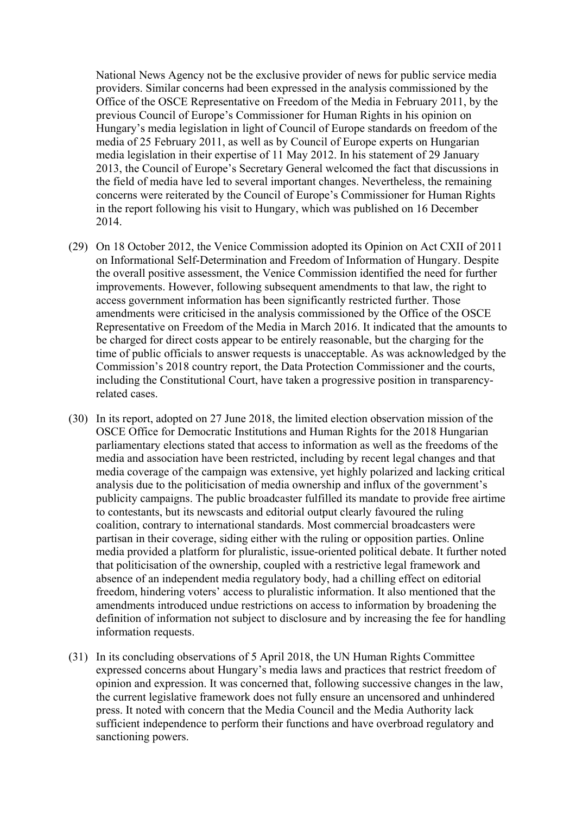National News Agency not be the exclusive provider of news for public service media providers. Similar concerns had been expressed in the analysis commissioned by the Office of the OSCE Representative on Freedom of the Media in February 2011, by the previous Council of Europe's Commissioner for Human Rights in his opinion on Hungary's media legislation in light of Council of Europe standards on freedom of the media of 25 February 2011, as well as by Council of Europe experts on Hungarian media legislation in their expertise of 11 May 2012. In his statement of 29 January 2013, the Council of Europe's Secretary General welcomed the fact that discussions in the field of media have led to several important changes. Nevertheless, the remaining concerns were reiterated by the Council of Europe's Commissioner for Human Rights in the report following his visit to Hungary, which was published on 16 December 2014.

- (29) On 18 October 2012, the Venice Commission adopted its Opinion on Act CXII of 2011 on Informational Self-Determination and Freedom of Information of Hungary. Despite the overall positive assessment, the Venice Commission identified the need for further improvements. However, following subsequent amendments to that law, the right to access government information has been significantly restricted further. Those amendments were criticised in the analysis commissioned by the Office of the OSCE Representative on Freedom of the Media in March 2016. It indicated that the amounts to be charged for direct costs appear to be entirely reasonable, but the charging for the time of public officials to answer requests is unacceptable. As was acknowledged by the Commission's 2018 country report, the Data Protection Commissioner and the courts, including the Constitutional Court, have taken a progressive position in transparencyrelated cases.
- (30) In its report, adopted on 27 June 2018, the limited election observation mission of the OSCE Office for Democratic Institutions and Human Rights for the 2018 Hungarian parliamentary elections stated that access to information as well as the freedoms of the media and association have been restricted, including by recent legal changes and that media coverage of the campaign was extensive, yet highly polarized and lacking critical analysis due to the politicisation of media ownership and influx of the government's publicity campaigns. The public broadcaster fulfilled its mandate to provide free airtime to contestants, but its newscasts and editorial output clearly favoured the ruling coalition, contrary to international standards. Most commercial broadcasters were partisan in their coverage, siding either with the ruling or opposition parties. Online media provided a platform for pluralistic, issue-oriented political debate. It further noted that politicisation of the ownership, coupled with a restrictive legal framework and absence of an independent media regulatory body, had a chilling effect on editorial freedom, hindering voters' access to pluralistic information. It also mentioned that the amendments introduced undue restrictions on access to information by broadening the definition of information not subject to disclosure and by increasing the fee for handling information requests.
- (31) In its concluding observations of 5 April 2018, the UN Human Rights Committee expressed concerns about Hungary's media laws and practices that restrict freedom of opinion and expression. It was concerned that, following successive changes in the law, the current legislative framework does not fully ensure an uncensored and unhindered press. It noted with concern that the Media Council and the Media Authority lack sufficient independence to perform their functions and have overbroad regulatory and sanctioning powers.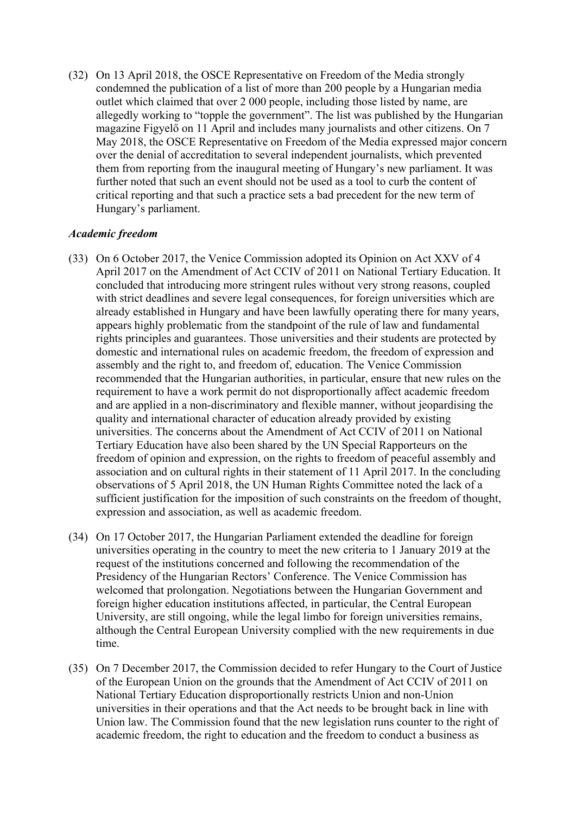(32) On 13 April 2018, the OSCE Representative on Freedom of the Media strongly condemned the publication of a list of more than 200 people by a Hungarian media outlet which claimed that over 2 000 people, including those listed by name, are allegedly working to "topple the government". The list was published by the Hungarian magazine Figyelő on 11 April and includes many journalists and other citizens. On 7 May 2018, the OSCE Representative on Freedom of the Media expressed major concern over the denial of accreditation to several independent journalists, which prevented them from reporting from the inaugural meeting of Hungary's new parliament. It was further noted that such an event should not be used as a tool to curb the content of critical reporting and that such a practice sets a bad precedent for the new term of Hungary's parliament.

#### *Academic freedom*

- (33) On 6 October 2017, the Venice Commission adopted its Opinion on Act XXV of 4 April 2017 on the Amendment of Act CCIV of 2011 on National Tertiary Education. It concluded that introducing more stringent rules without very strong reasons, coupled with strict deadlines and severe legal consequences, for foreign universities which are already established in Hungary and have been lawfully operating there for many years, appears highly problematic from the standpoint of the rule of law and fundamental rights principles and guarantees. Those universities and their students are protected by domestic and international rules on academic freedom, the freedom of expression and assembly and the right to, and freedom of, education. The Venice Commission recommended that the Hungarian authorities, in particular, ensure that new rules on the requirement to have a work permit do not disproportionally affect academic freedom and are applied in a non-discriminatory and flexible manner, without jeopardising the quality and international character of education already provided by existing universities. The concerns about the Amendment of Act CCIV of 2011 on National Tertiary Education have also been shared by the UN Special Rapporteurs on the freedom of opinion and expression, on the rights to freedom of peaceful assembly and association and on cultural rights in their statement of 11 April 2017. In the concluding observations of 5 April 2018, the UN Human Rights Committee noted the lack of a sufficient justification for the imposition of such constraints on the freedom of thought, expression and association, as well as academic freedom.
- (34) On 17 October 2017, the Hungarian Parliament extended the deadline for foreign universities operating in the country to meet the new criteria to 1 January 2019 at the request of the institutions concerned and following the recommendation of the Presidency of the Hungarian Rectors' Conference. The Venice Commission has welcomed that prolongation. Negotiations between the Hungarian Government and foreign higher education institutions affected, in particular, the Central European University, are still ongoing, while the legal limbo for foreign universities remains, although the Central European University complied with the new requirements in due time.
- (35) On 7 December 2017, the Commission decided to refer Hungary to the Court of Justice of the European Union on the grounds that the Amendment of Act CCIV of 2011 on National Tertiary Education disproportionally restricts Union and non-Union universities in their operations and that the Act needs to be brought back in line with Union law. The Commission found that the new legislation runs counter to the right of academic freedom, the right to education and the freedom to conduct a business as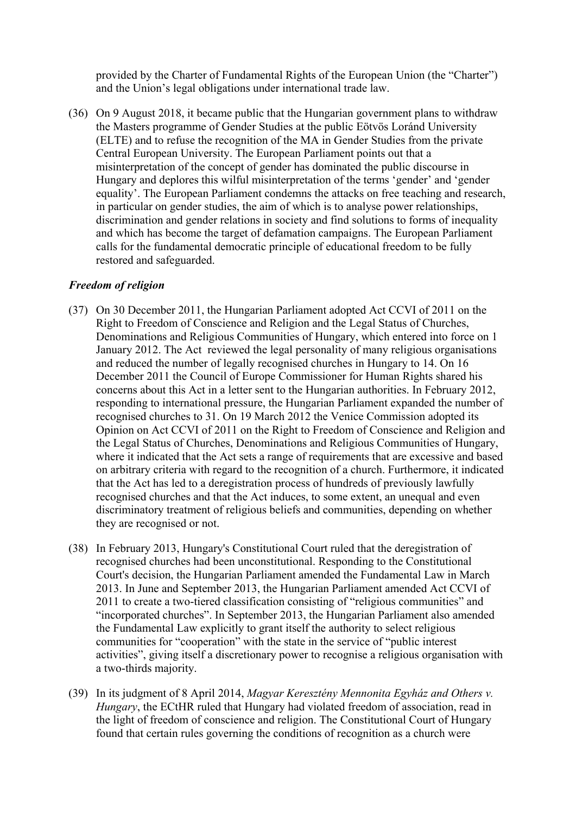provided by the Charter of Fundamental Rights of the European Union (the "Charter") and the Union's legal obligations under international trade law.

(36) On 9 August 2018, it became public that the Hungarian government plans to withdraw the Masters programme of Gender Studies at the public Eötvös Loránd University (ELTE) and to refuse the recognition of the MA in Gender Studies from the private Central European University. The European Parliament points out that a misinterpretation of the concept of gender has dominated the public discourse in Hungary and deplores this wilful misinterpretation of the terms 'gender' and 'gender equality'. The European Parliament condemns the attacks on free teaching and research, in particular on gender studies, the aim of which is to analyse power relationships, discrimination and gender relations in society and find solutions to forms of inequality and which has become the target of defamation campaigns. The European Parliament calls for the fundamental democratic principle of educational freedom to be fully restored and safeguarded.

## *Freedom of religion*

- (37) On 30 December 2011, the Hungarian Parliament adopted Act CCVI of 2011 on the Right to Freedom of Conscience and Religion and the Legal Status of Churches, Denominations and Religious Communities of Hungary, which entered into force on 1 January 2012. The Act reviewed the legal personality of many religious organisations and reduced the number of legally recognised churches in Hungary to 14. On 16 December 2011 the Council of Europe Commissioner for Human Rights shared his concerns about this Act in a letter sent to the Hungarian authorities. In February 2012, responding to international pressure, the Hungarian Parliament expanded the number of recognised churches to 31. On 19 March 2012 the Venice Commission adopted its Opinion on Act CCVI of 2011 on the Right to Freedom of Conscience and Religion and the Legal Status of Churches, Denominations and Religious Communities of Hungary, where it indicated that the Act sets a range of requirements that are excessive and based on arbitrary criteria with regard to the recognition of a church. Furthermore, it indicated that the Act has led to a deregistration process of hundreds of previously lawfully recognised churches and that the Act induces, to some extent, an unequal and even discriminatory treatment of religious beliefs and communities, depending on whether they are recognised or not.
- (38) In February 2013, Hungary's Constitutional Court ruled that the deregistration of recognised churches had been unconstitutional. Responding to the Constitutional Court's decision, the Hungarian Parliament amended the Fundamental Law in March 2013. In June and September 2013, the Hungarian Parliament amended Act CCVI of 2011 to create a two-tiered classification consisting of "religious communities" and "incorporated churches". In September 2013, the Hungarian Parliament also amended the Fundamental Law explicitly to grant itself the authority to select religious communities for "cooperation" with the state in the service of "public interest activities", giving itself a discretionary power to recognise a religious organisation with a two-thirds majority.
- (39) In its judgment of 8 April 2014, *Magyar Keresztény Mennonita Egyház and Others v. Hungary*, the ECtHR ruled that Hungary had violated freedom of association, read in the light of freedom of conscience and religion. The Constitutional Court of Hungary found that certain rules governing the conditions of recognition as a church were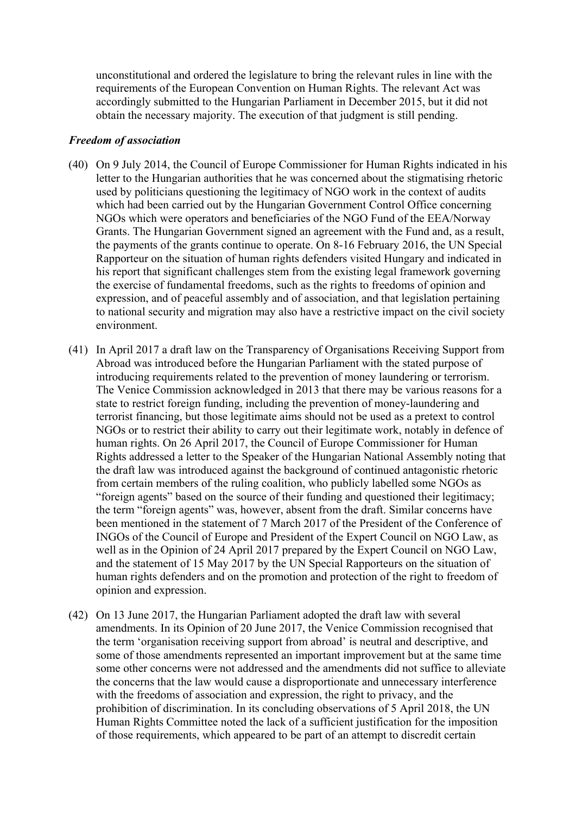unconstitutional and ordered the legislature to bring the relevant rules in line with the requirements of the European Convention on Human Rights. The relevant Act was accordingly submitted to the Hungarian Parliament in December 2015, but it did not obtain the necessary majority. The execution of that judgment is still pending.

#### *Freedom of association*

- (40) On 9 July 2014, the Council of Europe Commissioner for Human Rights indicated in his letter to the Hungarian authorities that he was concerned about the stigmatising rhetoric used by politicians questioning the legitimacy of NGO work in the context of audits which had been carried out by the Hungarian Government Control Office concerning NGOs which were operators and beneficiaries of the NGO Fund of the EEA/Norway Grants. The Hungarian Government signed an agreement with the Fund and, as a result, the payments of the grants continue to operate. On 8-16 February 2016, the UN Special Rapporteur on the situation of human rights defenders visited Hungary and indicated in his report that significant challenges stem from the existing legal framework governing the exercise of fundamental freedoms, such as the rights to freedoms of opinion and expression, and of peaceful assembly and of association, and that legislation pertaining to national security and migration may also have a restrictive impact on the civil society environment.
- (41) In April 2017 a draft law on the Transparency of Organisations Receiving Support from Abroad was introduced before the Hungarian Parliament with the stated purpose of introducing requirements related to the prevention of money laundering or terrorism. The Venice Commission acknowledged in 2013 that there may be various reasons for a state to restrict foreign funding, including the prevention of money-laundering and terrorist financing, but those legitimate aims should not be used as a pretext to control NGOs or to restrict their ability to carry out their legitimate work, notably in defence of human rights. On 26 April 2017, the Council of Europe Commissioner for Human Rights addressed a letter to the Speaker of the Hungarian National Assembly noting that the draft law was introduced against the background of continued antagonistic rhetoric from certain members of the ruling coalition, who publicly labelled some NGOs as "foreign agents" based on the source of their funding and questioned their legitimacy; the term "foreign agents" was, however, absent from the draft. Similar concerns have been mentioned in the statement of 7 March 2017 of the President of the Conference of INGOs of the Council of Europe and President of the Expert Council on NGO Law, as well as in the Opinion of 24 April 2017 prepared by the Expert Council on NGO Law, and the statement of 15 May 2017 by the UN Special Rapporteurs on the situation of human rights defenders and on the promotion and protection of the right to freedom of opinion and expression.
- (42) On 13 June 2017, the Hungarian Parliament adopted the draft law with several amendments. In its Opinion of 20 June 2017, the Venice Commission recognised that the term 'organisation receiving support from abroad' is neutral and descriptive, and some of those amendments represented an important improvement but at the same time some other concerns were not addressed and the amendments did not suffice to alleviate the concerns that the law would cause a disproportionate and unnecessary interference with the freedoms of association and expression, the right to privacy, and the prohibition of discrimination. In its concluding observations of 5 April 2018, the UN Human Rights Committee noted the lack of a sufficient justification for the imposition of those requirements, which appeared to be part of an attempt to discredit certain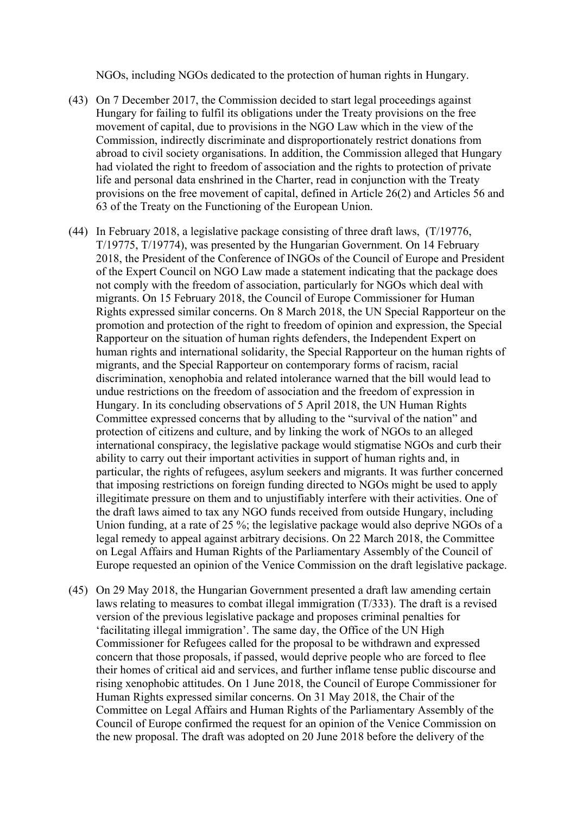NGOs, including NGOs dedicated to the protection of human rights in Hungary.

- (43) On 7 December 2017, the Commission decided to start legal proceedings against Hungary for failing to fulfil its obligations under the Treaty provisions on the free movement of capital, due to provisions in the NGO Law which in the view of the Commission, indirectly discriminate and disproportionately restrict donations from abroad to civil society organisations. In addition, the Commission alleged that Hungary had violated the right to freedom of association and the rights to protection of private life and personal data enshrined in the Charter, read in conjunction with the Treaty provisions on the free movement of capital, defined in Article 26(2) and Articles 56 and 63 of the Treaty on the Functioning of the European Union.
- (44) In February 2018, a legislative package consisting of three draft laws, (T/19776, T/19775, T/19774), was presented by the Hungarian Government. On 14 February 2018, the President of the Conference of INGOs of the Council of Europe and President of the Expert Council on NGO Law made a statement indicating that the package does not comply with the freedom of association, particularly for NGOs which deal with migrants. On 15 February 2018, the Council of Europe Commissioner for Human Rights expressed similar concerns. On 8 March 2018, the UN Special Rapporteur on the promotion and protection of the right to freedom of opinion and expression, the Special Rapporteur on the situation of human rights defenders, the Independent Expert on human rights and international solidarity, the Special Rapporteur on the human rights of migrants, and the Special Rapporteur on contemporary forms of racism, racial discrimination, xenophobia and related intolerance warned that the bill would lead to undue restrictions on the freedom of association and the freedom of expression in Hungary. In its concluding observations of 5 April 2018, the UN Human Rights Committee expressed concerns that by alluding to the "survival of the nation" and protection of citizens and culture, and by linking the work of NGOs to an alleged international conspiracy, the legislative package would stigmatise NGOs and curb their ability to carry out their important activities in support of human rights and, in particular, the rights of refugees, asylum seekers and migrants. It was further concerned that imposing restrictions on foreign funding directed to NGOs might be used to apply illegitimate pressure on them and to unjustifiably interfere with their activities. One of the draft laws aimed to tax any NGO funds received from outside Hungary, including Union funding, at a rate of 25 %; the legislative package would also deprive NGOs of a legal remedy to appeal against arbitrary decisions. On 22 March 2018, the Committee on Legal Affairs and Human Rights of the Parliamentary Assembly of the Council of Europe requested an opinion of the Venice Commission on the draft legislative package.
- (45) On 29 May 2018, the Hungarian Government presented a draft law amending certain laws relating to measures to combat illegal immigration (T/333). The draft is a revised version of the previous legislative package and proposes criminal penalties for 'facilitating illegal immigration'. The same day, the Office of the UN High Commissioner for Refugees called for the proposal to be withdrawn and expressed concern that those proposals, if passed, would deprive people who are forced to flee their homes of critical aid and services, and further inflame tense public discourse and rising xenophobic attitudes. On 1 June 2018, the Council of Europe Commissioner for Human Rights expressed similar concerns. On 31 May 2018, the Chair of the Committee on Legal Affairs and Human Rights of the Parliamentary Assembly of the Council of Europe confirmed the request for an opinion of the Venice Commission on the new proposal. The draft was adopted on 20 June 2018 before the delivery of the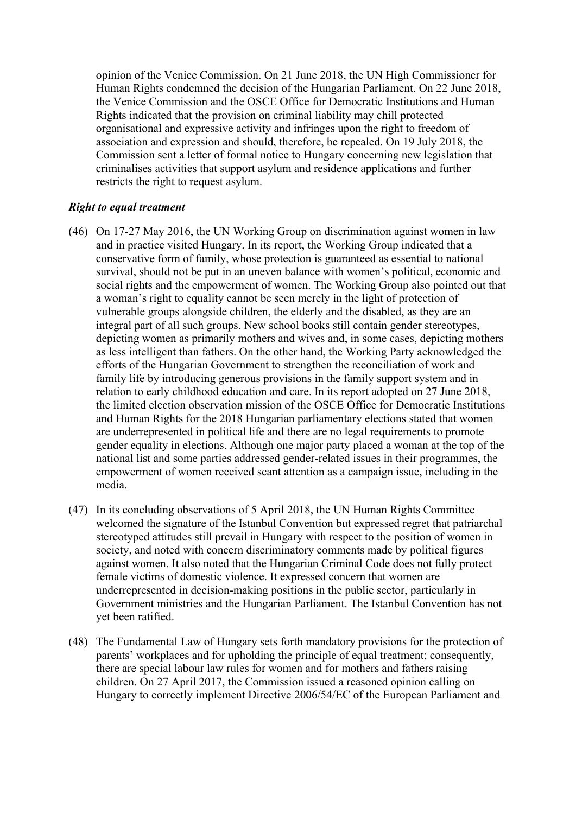opinion of the Venice Commission. On 21 June 2018, the UN High Commissioner for Human Rights condemned the decision of the Hungarian Parliament. On 22 June 2018, the Venice Commission and the OSCE Office for Democratic Institutions and Human Rights indicated that the provision on criminal liability may chill protected organisational and expressive activity and infringes upon the right to freedom of association and expression and should, therefore, be repealed. On 19 July 2018, the Commission sent a letter of formal notice to Hungary concerning new legislation that criminalises activities that support asylum and residence applications and further restricts the right to request asylum.

### *Right to equal treatment*

- (46) On 17-27 May 2016, the UN Working Group on discrimination against women in law and in practice visited Hungary. In its report, the Working Group indicated that a conservative form of family, whose protection is guaranteed as essential to national survival, should not be put in an uneven balance with women's political, economic and social rights and the empowerment of women. The Working Group also pointed out that a woman's right to equality cannot be seen merely in the light of protection of vulnerable groups alongside children, the elderly and the disabled, as they are an integral part of all such groups. New school books still contain gender stereotypes, depicting women as primarily mothers and wives and, in some cases, depicting mothers as less intelligent than fathers. On the other hand, the Working Party acknowledged the efforts of the Hungarian Government to strengthen the reconciliation of work and family life by introducing generous provisions in the family support system and in relation to early childhood education and care. In its report adopted on 27 June 2018, the limited election observation mission of the OSCE Office for Democratic Institutions and Human Rights for the 2018 Hungarian parliamentary elections stated that women are underrepresented in political life and there are no legal requirements to promote gender equality in elections. Although one major party placed a woman at the top of the national list and some parties addressed gender-related issues in their programmes, the empowerment of women received scant attention as a campaign issue, including in the media.
- (47) In its concluding observations of 5 April 2018, the UN Human Rights Committee welcomed the signature of the Istanbul Convention but expressed regret that patriarchal stereotyped attitudes still prevail in Hungary with respect to the position of women in society, and noted with concern discriminatory comments made by political figures against women. It also noted that the Hungarian Criminal Code does not fully protect female victims of domestic violence. It expressed concern that women are underrepresented in decision-making positions in the public sector, particularly in Government ministries and the Hungarian Parliament. The Istanbul Convention has not yet been ratified.
- (48) The Fundamental Law of Hungary sets forth mandatory provisions for the protection of parents' workplaces and for upholding the principle of equal treatment; consequently, there are special labour law rules for women and for mothers and fathers raising children. On 27 April 2017, the Commission issued a reasoned opinion calling on Hungary to correctly implement Directive 2006/54/EC of the European Parliament and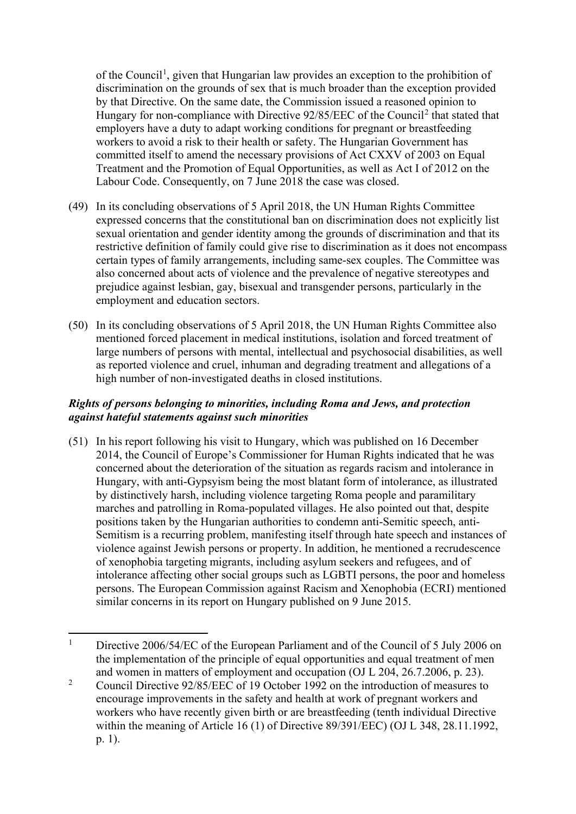of the Council<sup>[1](#page-17-0)</sup>, given that Hungarian law provides an exception to the prohibition of discrimination on the grounds of sex that is much broader than the exception provided by that Directive. On the same date, the Commission issued a reasoned opinion to Hungary for non-compliance with Directive 9[2](#page-17-1)/85/EEC of the Council<sup>2</sup> that stated that employers have a duty to adapt working conditions for pregnant or breastfeeding workers to avoid a risk to their health or safety. The Hungarian Government has committed itself to amend the necessary provisions of Act CXXV of 2003 on Equal Treatment and the Promotion of Equal Opportunities, as well as Act I of 2012 on the Labour Code. Consequently, on 7 June 2018 the case was closed.

- (49) In its concluding observations of 5 April 2018, the UN Human Rights Committee expressed concerns that the constitutional ban on discrimination does not explicitly list sexual orientation and gender identity among the grounds of discrimination and that its restrictive definition of family could give rise to discrimination as it does not encompass certain types of family arrangements, including same-sex couples. The Committee was also concerned about acts of violence and the prevalence of negative stereotypes and prejudice against lesbian, gay, bisexual and transgender persons, particularly in the employment and education sectors.
- (50) In its concluding observations of 5 April 2018, the UN Human Rights Committee also mentioned forced placement in medical institutions, isolation and forced treatment of large numbers of persons with mental, intellectual and psychosocial disabilities, as well as reported violence and cruel, inhuman and degrading treatment and allegations of a high number of non-investigated deaths in closed institutions.

## *Rights of persons belonging to minorities, including Roma and Jews, and protection against hateful statements against such minorities*

(51) In his report following his visit to Hungary, which was published on 16 December 2014, the Council of Europe's Commissioner for Human Rights indicated that he was concerned about the deterioration of the situation as regards racism and intolerance in Hungary, with anti-Gypsyism being the most blatant form of intolerance, as illustrated by distinctively harsh, including violence targeting Roma people and paramilitary marches and patrolling in Roma-populated villages. He also pointed out that, despite positions taken by the Hungarian authorities to condemn anti-Semitic speech, anti-Semitism is a recurring problem, manifesting itself through hate speech and instances of violence against Jewish persons or property. In addition, he mentioned a recrudescence of xenophobia targeting migrants, including asylum seekers and refugees, and of intolerance affecting other social groups such as LGBTI persons, the poor and homeless persons. The European Commission against Racism and Xenophobia (ECRI) mentioned similar concerns in its report on Hungary published on 9 June 2015.

<span id="page-17-0"></span><sup>&</sup>lt;sup>1</sup> Directive 2006/54/EC of the European Parliament and of the Council of 5 July 2006 on the implementation of the principle of equal opportunities and equal treatment of men and women in matters of employment and occupation (OJ L 204, 26.7.2006, p. 23).

<span id="page-17-1"></span><sup>&</sup>lt;sup>2</sup> Council Directive 92/85/EEC of 19 October 1992 on the introduction of measures to encourage improvements in the safety and health at work of pregnant workers and workers who have recently given birth or are breastfeeding (tenth individual Directive within the meaning of Article 16 (1) of Directive 89/391/EEC) (OJ L 348, 28.11.1992, p. 1).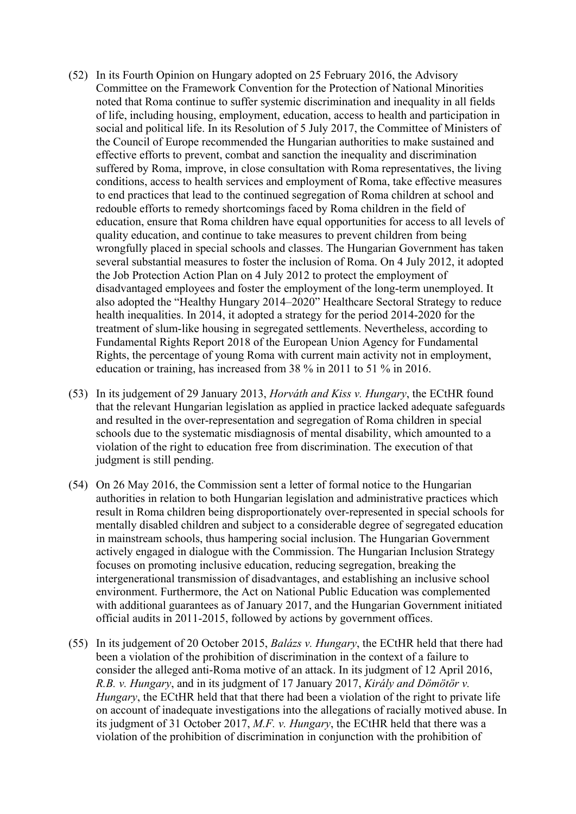- (52) In its Fourth Opinion on Hungary adopted on 25 February 2016, the Advisory Committee on the Framework Convention for the Protection of National Minorities noted that Roma continue to suffer systemic discrimination and inequality in all fields of life, including housing, employment, education, access to health and participation in social and political life. In its Resolution of 5 July 2017, the Committee of Ministers of the Council of Europe recommended the Hungarian authorities to make sustained and effective efforts to prevent, combat and sanction the inequality and discrimination suffered by Roma, improve, in close consultation with Roma representatives, the living conditions, access to health services and employment of Roma, take effective measures to end practices that lead to the continued segregation of Roma children at school and redouble efforts to remedy shortcomings faced by Roma children in the field of education, ensure that Roma children have equal opportunities for access to all levels of quality education, and continue to take measures to prevent children from being wrongfully placed in special schools and classes. The Hungarian Government has taken several substantial measures to foster the inclusion of Roma. On 4 July 2012, it adopted the Job Protection Action Plan on 4 July 2012 to protect the employment of disadvantaged employees and foster the employment of the long-term unemployed. It also adopted the "Healthy Hungary 2014–2020" Healthcare Sectoral Strategy to reduce health inequalities. In 2014, it adopted a strategy for the period 2014-2020 for the treatment of slum-like housing in segregated settlements. Nevertheless, according to Fundamental Rights Report 2018 of the European Union Agency for Fundamental Rights, the percentage of young Roma with current main activity not in employment, education or training, has increased from 38 % in 2011 to 51 % in 2016.
- (53) In its judgement of 29 January 2013, *Horváth and Kiss v. Hungary*, the ECtHR found that the relevant Hungarian legislation as applied in practice lacked adequate safeguards and resulted in the over-representation and segregation of Roma children in special schools due to the systematic misdiagnosis of mental disability, which amounted to a violation of the right to education free from discrimination. The execution of that judgment is still pending.
- (54) On 26 May 2016, the Commission sent a letter of formal notice to the Hungarian authorities in relation to both Hungarian legislation and administrative practices which result in Roma children being disproportionately over-represented in special schools for mentally disabled children and subject to a considerable degree of segregated education in mainstream schools, thus hampering social inclusion. The Hungarian Government actively engaged in dialogue with the Commission. The Hungarian Inclusion Strategy focuses on promoting inclusive education, reducing segregation, breaking the intergenerational transmission of disadvantages, and establishing an inclusive school environment. Furthermore, the Act on National Public Education was complemented with additional guarantees as of January 2017, and the Hungarian Government initiated official audits in 2011-2015, followed by actions by government offices.
- (55) In its judgement of 20 October 2015, *Balázs v. Hungary*, the ECtHR held that there had been a violation of the prohibition of discrimination in the context of a failure to consider the alleged anti-Roma motive of an attack. In its judgment of 12 April 2016, *R.B. v. Hungary*, and in its judgment of 17 January 2017, *Király and Dömötör v. Hungary*, the ECtHR held that that there had been a violation of the right to private life on account of inadequate investigations into the allegations of racially motived abuse. In its judgment of 31 October 2017, *M.F. v. Hungary*, the ECtHR held that there was a violation of the prohibition of discrimination in conjunction with the prohibition of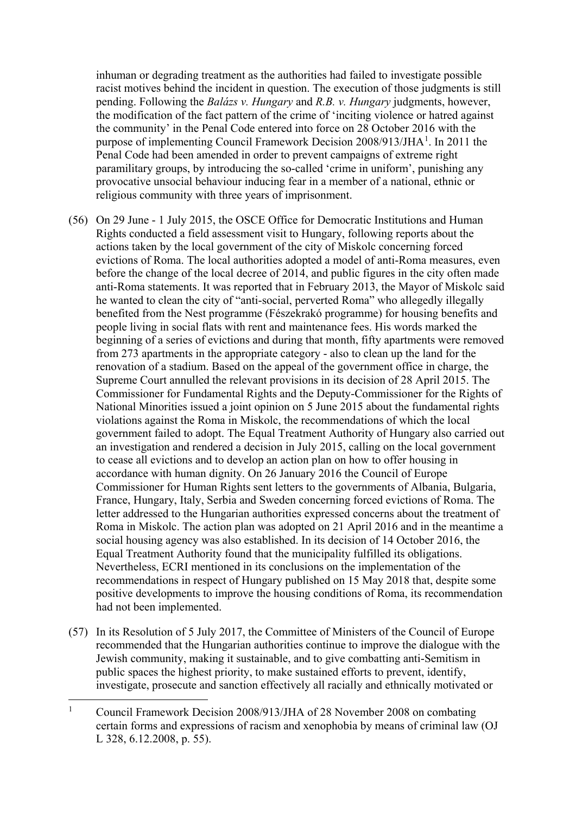inhuman or degrading treatment as the authorities had failed to investigate possible racist motives behind the incident in question. The execution of those judgments is still pending. Following the *Balázs v. Hungary* and *R.B. v. Hungary* judgments, however, the modification of the fact pattern of the crime of 'inciting violence or hatred against the community' in the Penal Code entered into force on 28 October 2016 with the purpose of implementing Council Framework Decision 2008/9[1](#page-19-0)3/JHA<sup>1</sup>. In 2011 the Penal Code had been amended in order to prevent campaigns of extreme right paramilitary groups, by introducing the so-called 'crime in uniform', punishing any provocative unsocial behaviour inducing fear in a member of a national, ethnic or religious community with three years of imprisonment.

- (56) On 29 June 1 July 2015, the OSCE Office for Democratic Institutions and Human Rights conducted a field assessment visit to Hungary, following reports about the actions taken by the local government of the city of Miskolc concerning forced evictions of Roma. The local authorities adopted a model of anti-Roma measures, even before the change of the local decree of 2014, and public figures in the city often made anti-Roma statements. It was reported that in February 2013, the Mayor of Miskolc said he wanted to clean the city of "anti-social, perverted Roma" who allegedly illegally benefited from the Nest programme (Fészekrakó programme) for housing benefits and people living in social flats with rent and maintenance fees. His words marked the beginning of a series of evictions and during that month, fifty apartments were removed from 273 apartments in the appropriate category - also to clean up the land for the renovation of a stadium. Based on the appeal of the government office in charge, the Supreme Court annulled the relevant provisions in its decision of 28 April 2015. The Commissioner for Fundamental Rights and the Deputy-Commissioner for the Rights of National Minorities issued a joint opinion on 5 June 2015 about the fundamental rights violations against the Roma in Miskolc, the recommendations of which the local government failed to adopt. The Equal Treatment Authority of Hungary also carried out an investigation and rendered a decision in July 2015, calling on the local government to cease all evictions and to develop an action plan on how to offer housing in accordance with human dignity. On 26 January 2016 the Council of Europe Commissioner for Human Rights sent letters to the governments of Albania, Bulgaria, France, Hungary, Italy, Serbia and Sweden concerning forced evictions of Roma. The letter addressed to the Hungarian authorities expressed concerns about the treatment of Roma in Miskolc. The action plan was adopted on 21 April 2016 and in the meantime a social housing agency was also established. In its decision of 14 October 2016, the Equal Treatment Authority found that the municipality fulfilled its obligations. Nevertheless, ECRI mentioned in its conclusions on the implementation of the recommendations in respect of Hungary published on 15 May 2018 that, despite some positive developments to improve the housing conditions of Roma, its recommendation had not been implemented.
- (57) In its Resolution of 5 July 2017, the Committee of Ministers of the Council of Europe recommended that the Hungarian authorities continue to improve the dialogue with the Jewish community, making it sustainable, and to give combatting anti-Semitism in public spaces the highest priority, to make sustained efforts to prevent, identify, investigate, prosecute and sanction effectively all racially and ethnically motivated or

<span id="page-19-0"></span><sup>&</sup>lt;sup>1</sup> Council Framework Decision 2008/913/JHA of 28 November 2008 on combating certain forms and expressions of racism and xenophobia by means of criminal law (OJ L 328, 6.12.2008, p. 55).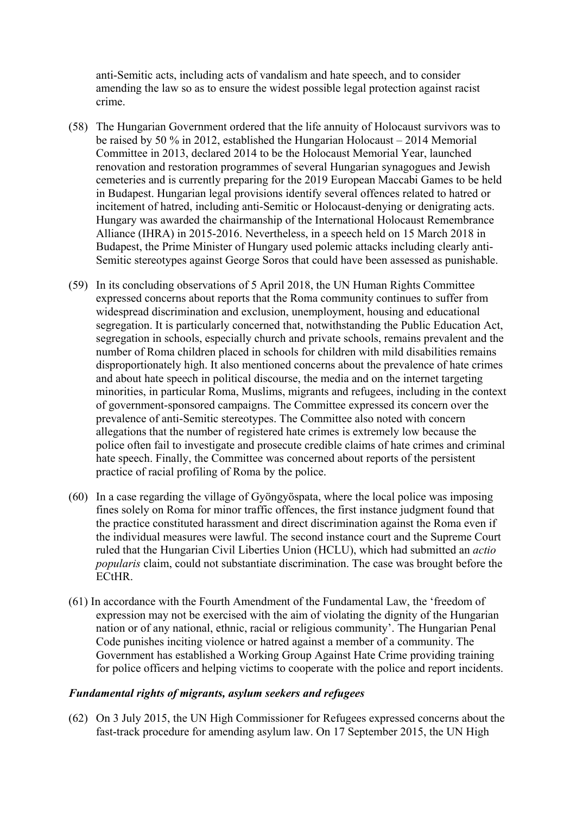anti-Semitic acts, including acts of vandalism and hate speech, and to consider amending the law so as to ensure the widest possible legal protection against racist crime.

- (58) The Hungarian Government ordered that the life annuity of Holocaust survivors was to be raised by 50 % in 2012, established the Hungarian Holocaust – 2014 Memorial Committee in 2013, declared 2014 to be the Holocaust Memorial Year, launched renovation and restoration programmes of several Hungarian synagogues and Jewish cemeteries and is currently preparing for the 2019 European Maccabi Games to be held in Budapest. Hungarian legal provisions identify several offences related to hatred or incitement of hatred, including anti-Semitic or Holocaust-denying or denigrating acts. Hungary was awarded the chairmanship of the International Holocaust Remembrance Alliance (IHRA) in 2015-2016. Nevertheless, in a speech held on 15 March 2018 in Budapest, the Prime Minister of Hungary used polemic attacks including clearly anti-Semitic stereotypes against George Soros that could have been assessed as punishable.
- (59) In its concluding observations of 5 April 2018, the UN Human Rights Committee expressed concerns about reports that the Roma community continues to suffer from widespread discrimination and exclusion, unemployment, housing and educational segregation. It is particularly concerned that, notwithstanding the Public Education Act, segregation in schools, especially church and private schools, remains prevalent and the number of Roma children placed in schools for children with mild disabilities remains disproportionately high. It also mentioned concerns about the prevalence of hate crimes and about hate speech in political discourse, the media and on the internet targeting minorities, in particular Roma, Muslims, migrants and refugees, including in the context of government-sponsored campaigns. The Committee expressed its concern over the prevalence of anti-Semitic stereotypes. The Committee also noted with concern allegations that the number of registered hate crimes is extremely low because the police often fail to investigate and prosecute credible claims of hate crimes and criminal hate speech. Finally, the Committee was concerned about reports of the persistent practice of racial profiling of Roma by the police.
- (60) In a case regarding the village of Gyöngyöspata, where the local police was imposing fines solely on Roma for minor traffic offences, the first instance judgment found that the practice constituted harassment and direct discrimination against the Roma even if the individual measures were lawful. The second instance court and the Supreme Court ruled that the Hungarian Civil Liberties Union (HCLU), which had submitted an *actio popularis* claim, could not substantiate discrimination. The case was brought before the ECtHR.
- (61) In accordance with the Fourth Amendment of the Fundamental Law, the 'freedom of expression may not be exercised with the aim of violating the dignity of the Hungarian nation or of any national, ethnic, racial or religious community'. The Hungarian Penal Code punishes inciting violence or hatred against a member of a community. The Government has established a Working Group Against Hate Crime providing training for police officers and helping victims to cooperate with the police and report incidents.

#### *Fundamental rights of migrants, asylum seekers and refugees*

(62) On 3 July 2015, the UN High Commissioner for Refugees expressed concerns about the fast-track procedure for amending asylum law. On 17 September 2015, the UN High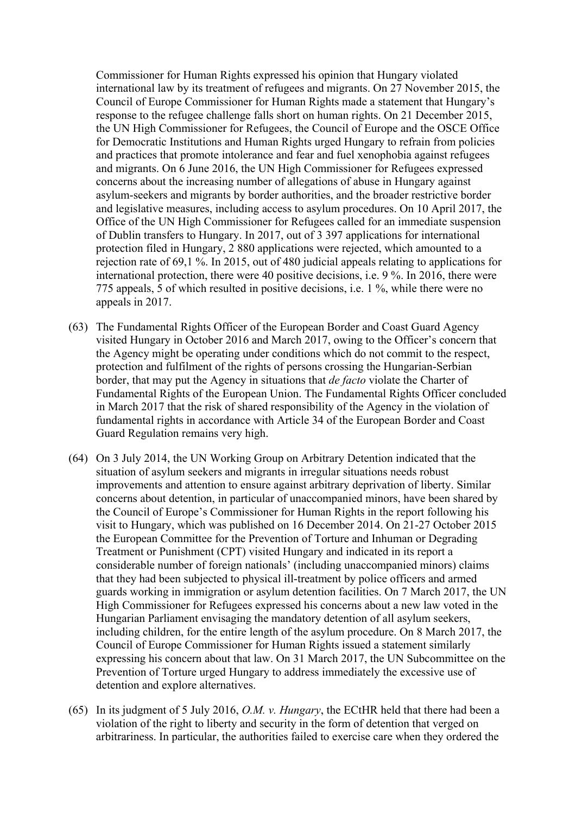Commissioner for Human Rights expressed his opinion that Hungary violated international law by its treatment of refugees and migrants. On 27 November 2015, the Council of Europe Commissioner for Human Rights made a statement that Hungary's response to the refugee challenge falls short on human rights. On 21 December 2015, the UN High Commissioner for Refugees, the Council of Europe and the OSCE Office for Democratic Institutions and Human Rights urged Hungary to refrain from policies and practices that promote intolerance and fear and fuel xenophobia against refugees and migrants. On 6 June 2016, the UN High Commissioner for Refugees expressed concerns about the increasing number of allegations of abuse in Hungary against asylum-seekers and migrants by border authorities, and the broader restrictive border and legislative measures, including access to asylum procedures. On 10 April 2017, the Office of the UN High Commissioner for Refugees called for an immediate suspension of Dublin transfers to Hungary. In 2017, out of 3 397 applications for international protection filed in Hungary, 2 880 applications were rejected, which amounted to a rejection rate of 69,1 %. In 2015, out of 480 judicial appeals relating to applications for international protection, there were 40 positive decisions, i.e. 9 %. In 2016, there were 775 appeals, 5 of which resulted in positive decisions, i.e. 1 %, while there were no appeals in 2017.

- (63) The Fundamental Rights Officer of the European Border and Coast Guard Agency visited Hungary in October 2016 and March 2017, owing to the Officer's concern that the Agency might be operating under conditions which do not commit to the respect, protection and fulfilment of the rights of persons crossing the Hungarian-Serbian border, that may put the Agency in situations that *de facto* violate the Charter of Fundamental Rights of the European Union. The Fundamental Rights Officer concluded in March 2017 that the risk of shared responsibility of the Agency in the violation of fundamental rights in accordance with Article 34 of the European Border and Coast Guard Regulation remains very high.
- (64) On 3 July 2014, the UN Working Group on Arbitrary Detention indicated that the situation of asylum seekers and migrants in irregular situations needs robust improvements and attention to ensure against arbitrary deprivation of liberty. Similar concerns about detention, in particular of unaccompanied minors, have been shared by the Council of Europe's Commissioner for Human Rights in the report following his visit to Hungary, which was published on 16 December 2014. On 21-27 October 2015 the European Committee for the Prevention of Torture and Inhuman or Degrading Treatment or Punishment (CPT) visited Hungary and indicated in its report a considerable number of foreign nationals' (including unaccompanied minors) claims that they had been subjected to physical ill-treatment by police officers and armed guards working in immigration or asylum detention facilities. On 7 March 2017, the UN High Commissioner for Refugees expressed his concerns about a new law voted in the Hungarian Parliament envisaging the mandatory detention of all asylum seekers, including children, for the entire length of the asylum procedure. On 8 March 2017, the Council of Europe Commissioner for Human Rights issued a statement similarly expressing his concern about that law. On 31 March 2017, the UN Subcommittee on the Prevention of Torture urged Hungary to address immediately the excessive use of detention and explore alternatives.
- (65) In its judgment of 5 July 2016, *O.M. v. Hungary*, the ECtHR held that there had been a violation of the right to liberty and security in the form of detention that verged on arbitrariness. In particular, the authorities failed to exercise care when they ordered the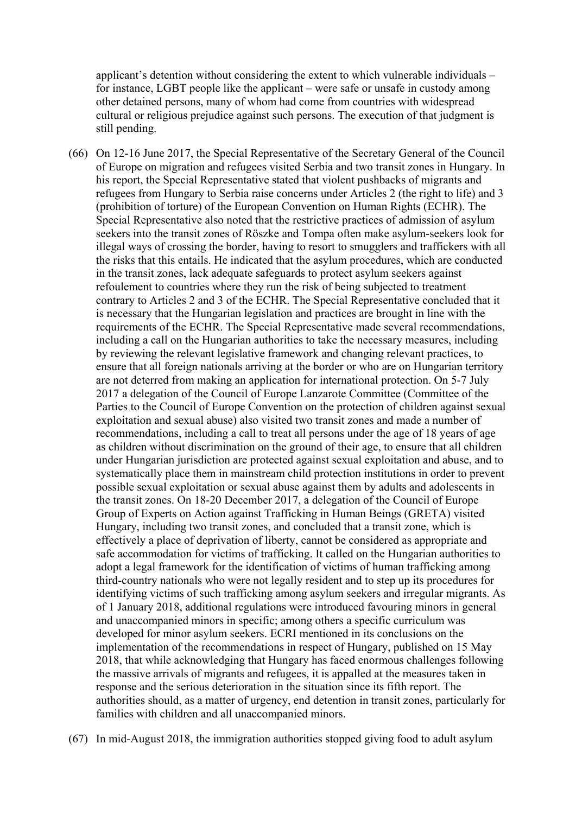applicant's detention without considering the extent to which vulnerable individuals – for instance, LGBT people like the applicant – were safe or unsafe in custody among other detained persons, many of whom had come from countries with widespread cultural or religious prejudice against such persons. The execution of that judgment is still pending.

(66) On 12-16 June 2017, the Special Representative of the Secretary General of the Council of Europe on migration and refugees visited Serbia and two transit zones in Hungary. In his report, the Special Representative stated that violent pushbacks of migrants and refugees from Hungary to Serbia raise concerns under Articles 2 (the right to life) and 3 (prohibition of torture) of the European Convention on Human Rights (ECHR). The Special Representative also noted that the restrictive practices of admission of asylum seekers into the transit zones of Röszke and Tompa often make asylum-seekers look for illegal ways of crossing the border, having to resort to smugglers and traffickers with all the risks that this entails. He indicated that the asylum procedures, which are conducted in the transit zones, lack adequate safeguards to protect asylum seekers against refoulement to countries where they run the risk of being subjected to treatment contrary to Articles 2 and 3 of the ECHR. The Special Representative concluded that it is necessary that the Hungarian legislation and practices are brought in line with the requirements of the ECHR. The Special Representative made several recommendations, including a call on the Hungarian authorities to take the necessary measures, including by reviewing the relevant legislative framework and changing relevant practices, to ensure that all foreign nationals arriving at the border or who are on Hungarian territory are not deterred from making an application for international protection. On 5-7 July 2017 a delegation of the Council of Europe Lanzarote Committee (Committee of the Parties to the Council of Europe Convention on the protection of children against sexual exploitation and sexual abuse) also visited two transit zones and made a number of recommendations, including a call to treat all persons under the age of 18 years of age as children without discrimination on the ground of their age, to ensure that all children under Hungarian jurisdiction are protected against sexual exploitation and abuse, and to systematically place them in mainstream child protection institutions in order to prevent possible sexual exploitation or sexual abuse against them by adults and adolescents in the transit zones. On 18-20 December 2017, a delegation of the Council of Europe Group of Experts on Action against Trafficking in Human Beings (GRETA) visited Hungary, including two transit zones, and concluded that a transit zone, which is effectively a place of deprivation of liberty, cannot be considered as appropriate and safe accommodation for victims of trafficking. It called on the Hungarian authorities to adopt a legal framework for the identification of victims of human trafficking among third-country nationals who were not legally resident and to step up its procedures for identifying victims of such trafficking among asylum seekers and irregular migrants. As of 1 January 2018, additional regulations were introduced favouring minors in general and unaccompanied minors in specific; among others a specific curriculum was developed for minor asylum seekers. ECRI mentioned in its conclusions on the implementation of the recommendations in respect of Hungary, published on 15 May 2018, that while acknowledging that Hungary has faced enormous challenges following the massive arrivals of migrants and refugees, it is appalled at the measures taken in response and the serious deterioration in the situation since its fifth report. The authorities should, as a matter of urgency, end detention in transit zones, particularly for families with children and all unaccompanied minors.

(67) In mid-August 2018, the immigration authorities stopped giving food to adult asylum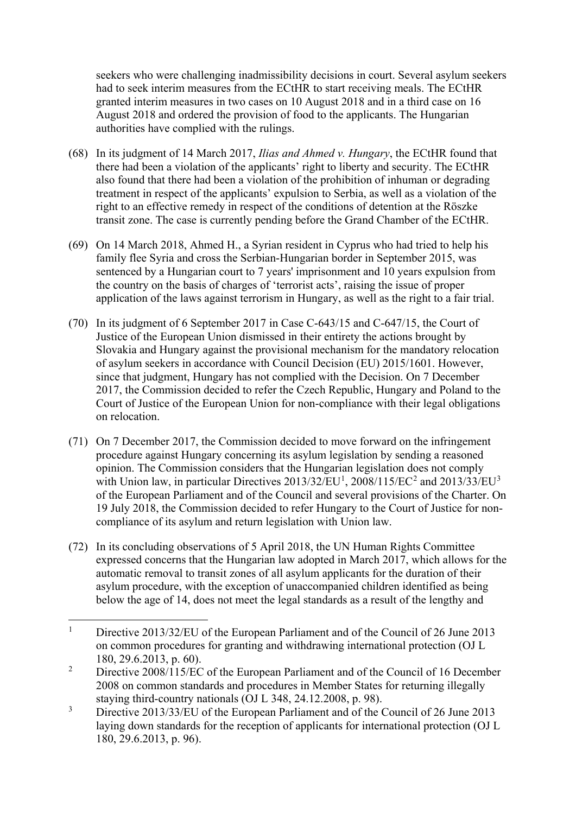seekers who were challenging inadmissibility decisions in court. Several asylum seekers had to seek interim measures from the ECtHR to start receiving meals. The ECtHR granted interim measures in two cases on 10 August 2018 and in a third case on 16 August 2018 and ordered the provision of food to the applicants. The Hungarian authorities have complied with the rulings.

- (68) In its judgment of 14 March 2017, *Ilias and Ahmed v. Hungary*, the ECtHR found that there had been a violation of the applicants' right to liberty and security. The ECtHR also found that there had been a violation of the prohibition of inhuman or degrading treatment in respect of the applicants' expulsion to Serbia, as well as a violation of the right to an effective remedy in respect of the conditions of detention at the Röszke transit zone. The case is currently pending before the Grand Chamber of the ECtHR.
- (69) On 14 March 2018, Ahmed H., a Syrian resident in Cyprus who had tried to help his family flee Syria and cross the Serbian-Hungarian border in September 2015, was sentenced by a Hungarian court to 7 years' imprisonment and 10 years expulsion from the country on the basis of charges of 'terrorist acts', raising the issue of proper application of the laws against terrorism in Hungary, as well as the right to a fair trial.
- (70) In its judgment of 6 September 2017 in Case C-643/15 and C-647/15, the Court of Justice of the European Union dismissed in their entirety the actions brought by Slovakia and Hungary against the provisional mechanism for the mandatory relocation of asylum seekers in accordance with Council Decision (EU) 2015/1601. However, since that judgment, Hungary has not complied with the Decision. On 7 December 2017, the Commission decided to refer the Czech Republic, Hungary and Poland to the Court of Justice of the European Union for non-compliance with their legal obligations on relocation.
- (71) On 7 December 2017, the Commission decided to move forward on the infringement procedure against Hungary concerning its asylum legislation by sending a reasoned opinion. The Commission considers that the Hungarian legislation does not comply with Union law, in particular Directives  $2013/32/EU<sup>1</sup>$  $2013/32/EU<sup>1</sup>$  $2013/32/EU<sup>1</sup>$  $2013/32/EU<sup>1</sup>$  $2013/32/EU<sup>1</sup>$ ,  $2008/115/EC<sup>2</sup>$  and  $2013/33/EU<sup>3</sup>$  $2013/33/EU<sup>3</sup>$  $2013/33/EU<sup>3</sup>$ of the European Parliament and of the Council and several provisions of the Charter. On 19 July 2018, the Commission decided to refer Hungary to the Court of Justice for noncompliance of its asylum and return legislation with Union law.
- (72) In its concluding observations of 5 April 2018, the UN Human Rights Committee expressed concerns that the Hungarian law adopted in March 2017, which allows for the automatic removal to transit zones of all asylum applicants for the duration of their asylum procedure, with the exception of unaccompanied children identified as being below the age of 14, does not meet the legal standards as a result of the lengthy and

<span id="page-23-0"></span><sup>&</sup>lt;sup>1</sup> Directive 2013/32/EU of the European Parliament and of the Council of 26 June 2013 on common procedures for granting and withdrawing international protection (OJ L 180, 29.6.2013, p. 60).

<span id="page-23-1"></span><sup>&</sup>lt;sup>2</sup> Directive 2008/115/EC of the European Parliament and of the Council of 16 December 2008 on common standards and procedures in Member States for returning illegally staying third-country nationals (OJ L 348, 24.12.2008, p. 98).

<span id="page-23-2"></span><sup>&</sup>lt;sup>3</sup> Directive 2013/33/EU of the European Parliament and of the Council of 26 June 2013 laying down standards for the reception of applicants for international protection (OJ L 180, 29.6.2013, p. 96).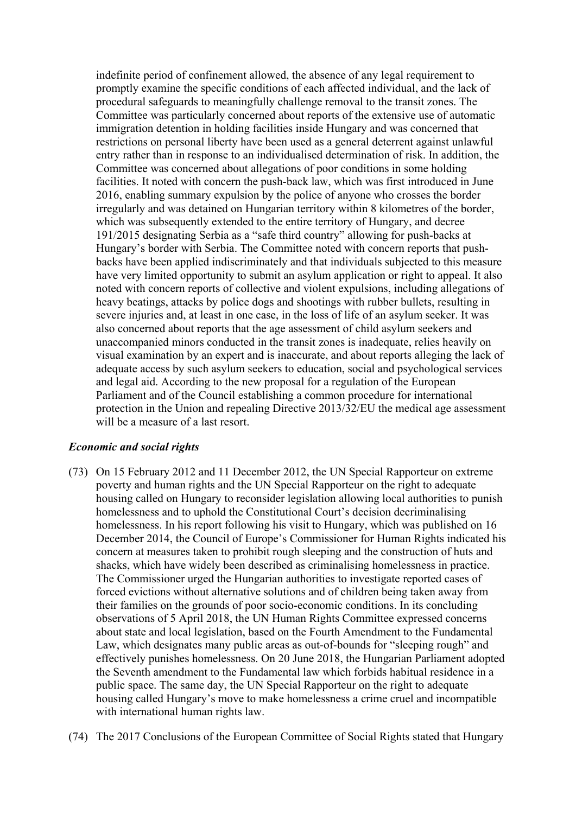indefinite period of confinement allowed, the absence of any legal requirement to promptly examine the specific conditions of each affected individual, and the lack of procedural safeguards to meaningfully challenge removal to the transit zones. The Committee was particularly concerned about reports of the extensive use of automatic immigration detention in holding facilities inside Hungary and was concerned that restrictions on personal liberty have been used as a general deterrent against unlawful entry rather than in response to an individualised determination of risk. In addition, the Committee was concerned about allegations of poor conditions in some holding facilities. It noted with concern the push-back law, which was first introduced in June 2016, enabling summary expulsion by the police of anyone who crosses the border irregularly and was detained on Hungarian territory within 8 kilometres of the border, which was subsequently extended to the entire territory of Hungary, and decree 191/2015 designating Serbia as a "safe third country" allowing for push-backs at Hungary's border with Serbia. The Committee noted with concern reports that pushbacks have been applied indiscriminately and that individuals subjected to this measure have very limited opportunity to submit an asylum application or right to appeal. It also noted with concern reports of collective and violent expulsions, including allegations of heavy beatings, attacks by police dogs and shootings with rubber bullets, resulting in severe injuries and, at least in one case, in the loss of life of an asylum seeker. It was also concerned about reports that the age assessment of child asylum seekers and unaccompanied minors conducted in the transit zones is inadequate, relies heavily on visual examination by an expert and is inaccurate, and about reports alleging the lack of adequate access by such asylum seekers to education, social and psychological services and legal aid. According to the new proposal for a regulation of the European Parliament and of the Council establishing a common procedure for international protection in the Union and repealing Directive 2013/32/EU the medical age assessment will be a measure of a last resort.

#### *Economic and social rights*

- (73) On 15 February 2012 and 11 December 2012, the UN Special Rapporteur on extreme poverty and human rights and the UN Special Rapporteur on the right to adequate housing called on Hungary to reconsider legislation allowing local authorities to punish homelessness and to uphold the Constitutional Court's decision decriminalising homelessness. In his report following his visit to Hungary, which was published on 16 December 2014, the Council of Europe's Commissioner for Human Rights indicated his concern at measures taken to prohibit rough sleeping and the construction of huts and shacks, which have widely been described as criminalising homelessness in practice. The Commissioner urged the Hungarian authorities to investigate reported cases of forced evictions without alternative solutions and of children being taken away from their families on the grounds of poor socio-economic conditions. In its concluding observations of 5 April 2018, the UN Human Rights Committee expressed concerns about state and local legislation, based on the Fourth Amendment to the Fundamental Law, which designates many public areas as out-of-bounds for "sleeping rough" and effectively punishes homelessness. On 20 June 2018, the Hungarian Parliament adopted the Seventh amendment to the Fundamental law which forbids habitual residence in a public space. The same day, the UN Special Rapporteur on the right to adequate housing called Hungary's move to make homelessness a crime cruel and incompatible with international human rights law.
- (74) The 2017 Conclusions of the European Committee of Social Rights stated that Hungary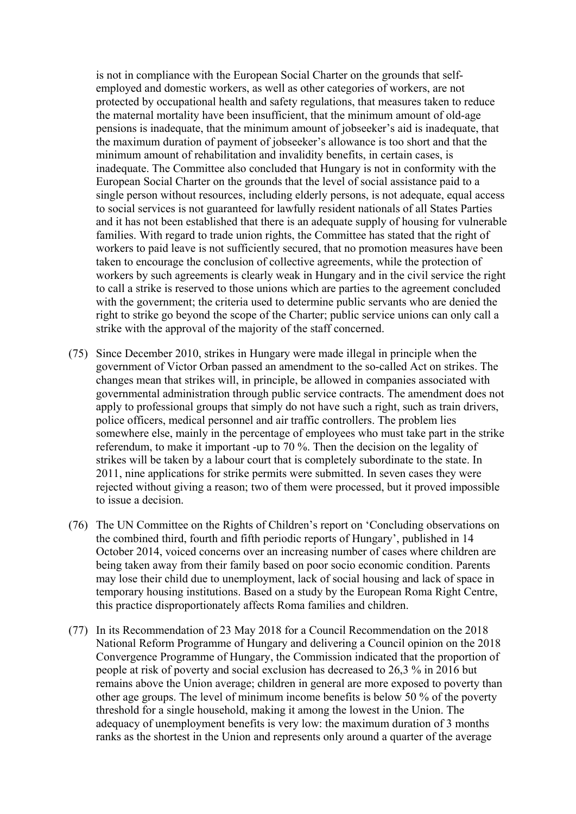is not in compliance with the European Social Charter on the grounds that selfemployed and domestic workers, as well as other categories of workers, are not protected by occupational health and safety regulations, that measures taken to reduce the maternal mortality have been insufficient, that the minimum amount of old-age pensions is inadequate, that the minimum amount of jobseeker's aid is inadequate, that the maximum duration of payment of jobseeker's allowance is too short and that the minimum amount of rehabilitation and invalidity benefits, in certain cases, is inadequate. The Committee also concluded that Hungary is not in conformity with the European Social Charter on the grounds that the level of social assistance paid to a single person without resources, including elderly persons, is not adequate, equal access to social services is not guaranteed for lawfully resident nationals of all States Parties and it has not been established that there is an adequate supply of housing for vulnerable families. With regard to trade union rights, the Committee has stated that the right of workers to paid leave is not sufficiently secured, that no promotion measures have been taken to encourage the conclusion of collective agreements, while the protection of workers by such agreements is clearly weak in Hungary and in the civil service the right to call a strike is reserved to those unions which are parties to the agreement concluded with the government; the criteria used to determine public servants who are denied the right to strike go beyond the scope of the Charter; public service unions can only call a strike with the approval of the majority of the staff concerned.

- (75) Since December 2010, strikes in Hungary were made illegal in principle when the government of Victor Orban passed an amendment to the so-called Act on strikes. The changes mean that strikes will, in principle, be allowed in companies associated with governmental administration through public service contracts. The amendment does not apply to professional groups that simply do not have such a right, such as train drivers, police officers, medical personnel and air traffic controllers. The problem lies somewhere else, mainly in the percentage of employees who must take part in the strike referendum, to make it important -up to 70 %. Then the decision on the legality of strikes will be taken by a labour court that is completely subordinate to the state. In 2011, nine applications for strike permits were submitted. In seven cases they were rejected without giving a reason; two of them were processed, but it proved impossible to issue a decision.
- (76) The UN Committee on the Rights of Children's report on 'Concluding observations on the combined third, fourth and fifth periodic reports of Hungary', published in 14 October 2014, voiced concerns over an increasing number of cases where children are being taken away from their family based on poor socio economic condition. Parents may lose their child due to unemployment, lack of social housing and lack of space in temporary housing institutions. Based on a study by the European Roma Right Centre, this practice disproportionately affects Roma families and children.
- (77) In its Recommendation of 23 May 2018 for a Council Recommendation on the 2018 National Reform Programme of Hungary and delivering a Council opinion on the 2018 Convergence Programme of Hungary, the Commission indicated that the proportion of people at risk of poverty and social exclusion has decreased to 26,3 % in 2016 but remains above the Union average; children in general are more exposed to poverty than other age groups. The level of minimum income benefits is below 50 % of the poverty threshold for a single household, making it among the lowest in the Union. The adequacy of unemployment benefits is very low: the maximum duration of 3 months ranks as the shortest in the Union and represents only around a quarter of the average